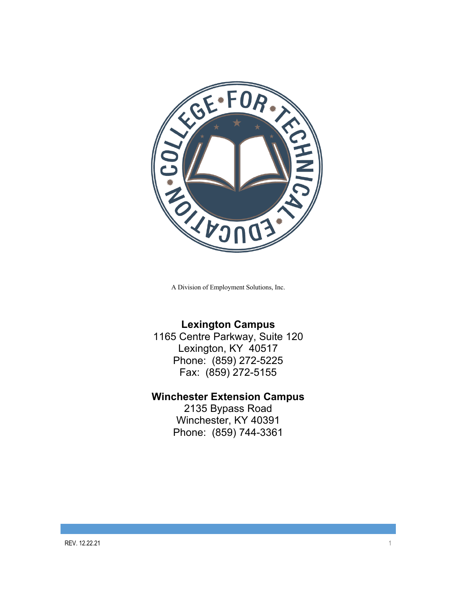

A Division of Employment Solutions, Inc.

## **Lexington Campus**

1165 Centre Parkway, Suite 120 Lexington, KY 40517 Phone: (859) 272-5225 Fax: (859) 272-5155

## **Winchester Extension Campus**

2135 Bypass Road Winchester, KY 40391 Phone: (859) 744-3361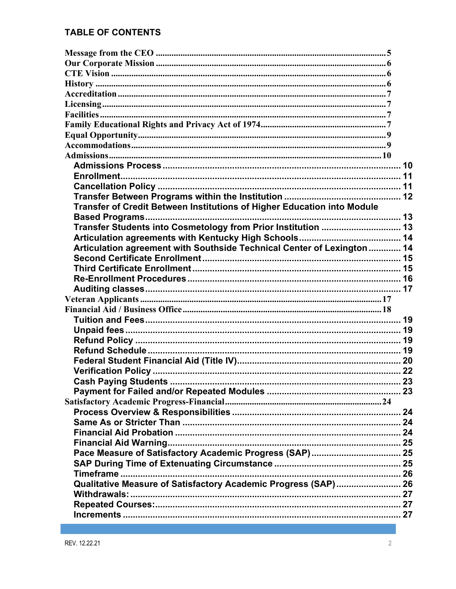## **TABLE OF CONTENTS**

| Transfer of Credit Between Institutions of Higher Education into Module |  |
|-------------------------------------------------------------------------|--|
|                                                                         |  |
| Transfer Students into Cosmetology from Prior Institution  13           |  |
|                                                                         |  |
| Articulation agreement with Southside Technical Center of Lexington  14 |  |
|                                                                         |  |
|                                                                         |  |
|                                                                         |  |
|                                                                         |  |
|                                                                         |  |
|                                                                         |  |
|                                                                         |  |
|                                                                         |  |
|                                                                         |  |
|                                                                         |  |
|                                                                         |  |
|                                                                         |  |
|                                                                         |  |
|                                                                         |  |
|                                                                         |  |
|                                                                         |  |
|                                                                         |  |
|                                                                         |  |
|                                                                         |  |
|                                                                         |  |
|                                                                         |  |
|                                                                         |  |
|                                                                         |  |
| Qualitative Measure of Satisfactory Academic Progress (SAP) 26          |  |
|                                                                         |  |
|                                                                         |  |
|                                                                         |  |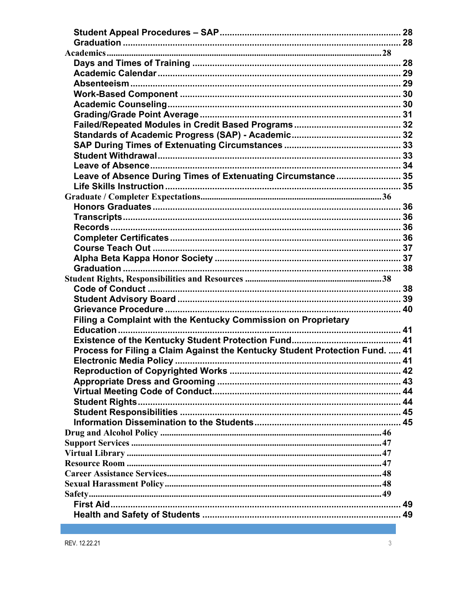| Leave of Absence During Times of Extenuating Circumstance 35                 |  |
|------------------------------------------------------------------------------|--|
|                                                                              |  |
|                                                                              |  |
|                                                                              |  |
|                                                                              |  |
|                                                                              |  |
|                                                                              |  |
|                                                                              |  |
|                                                                              |  |
|                                                                              |  |
|                                                                              |  |
|                                                                              |  |
|                                                                              |  |
|                                                                              |  |
|                                                                              |  |
| Filing a Complaint with the Kentucky Commission on Proprietary               |  |
|                                                                              |  |
|                                                                              |  |
| Process for Filing a Claim Against the Kentucky Student Protection Fund.  41 |  |
|                                                                              |  |
|                                                                              |  |
|                                                                              |  |
|                                                                              |  |
|                                                                              |  |
|                                                                              |  |
|                                                                              |  |
|                                                                              |  |
|                                                                              |  |
|                                                                              |  |
|                                                                              |  |
|                                                                              |  |
|                                                                              |  |
|                                                                              |  |
|                                                                              |  |
|                                                                              |  |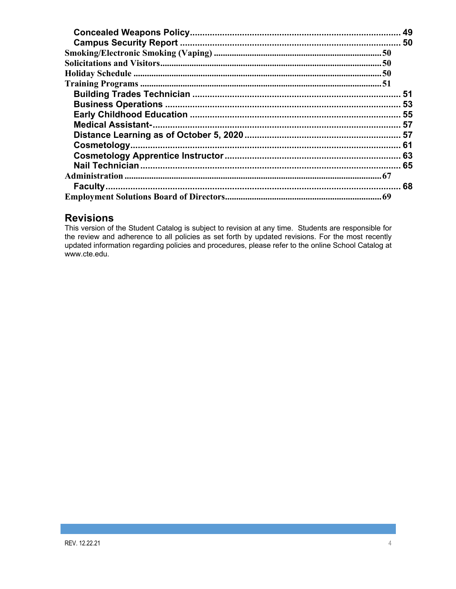| 49 |
|----|
|    |
|    |
|    |
|    |
|    |
|    |
|    |
|    |
|    |
|    |
|    |
|    |
|    |
|    |
|    |
|    |

## **Revisions**

This version of the Student Catalog is subject to revision at any time. Students are responsible for the review and adherence to all policies as set forth by updated revisions. For the most recently updated information regarding policies and procedures, please refer to the online School Catalog at www.cte.edu.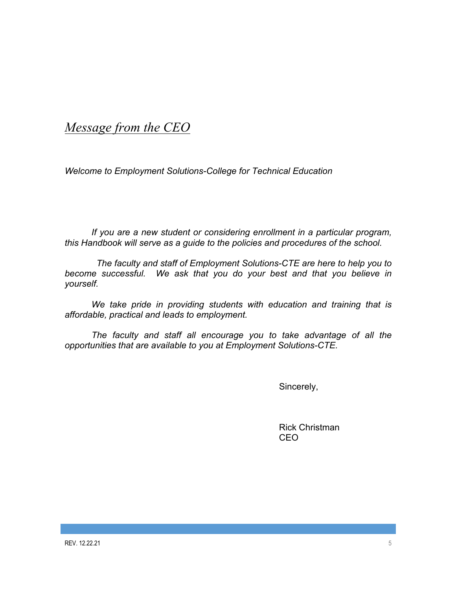# *Message from the CEO*

*Welcome to Employment Solutions-College for Technical Education*

*If you are a new student or considering enrollment in a particular program, this Handbook will serve as a guide to the policies and procedures of the school.*

 *The faculty and staff of Employment Solutions-CTE are here to help you to become successful. We ask that you do your best and that you believe in yourself.* 

*We take pride in providing students with education and training that is affordable, practical and leads to employment.* 

*The faculty and staff all encourage you to take advantage of all the opportunities that are available to you at Employment Solutions-CTE.*

Sincerely,

Rick Christman CEO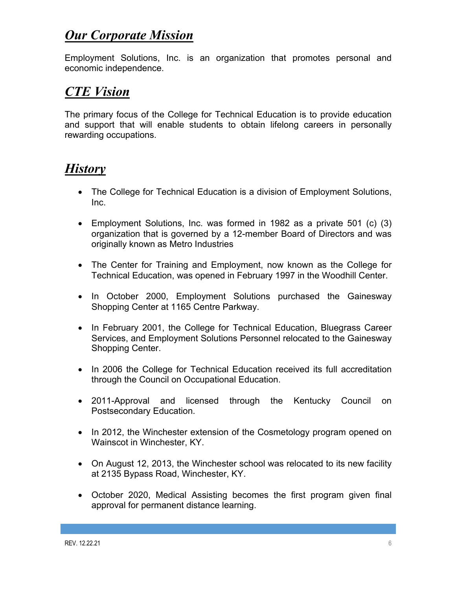# *Our Corporate Mission*

Employment Solutions, Inc. is an organization that promotes personal and economic independence.

# *CTE Vision*

The primary focus of the College for Technical Education is to provide education and support that will enable students to obtain lifelong careers in personally rewarding occupations.

# *History*

- The College for Technical Education is a division of Employment Solutions, Inc.
- Employment Solutions, Inc. was formed in 1982 as a private 501 (c) (3) organization that is governed by a 12-member Board of Directors and was originally known as Metro Industries
- The Center for Training and Employment, now known as the College for Technical Education, was opened in February 1997 in the Woodhill Center.
- In October 2000, Employment Solutions purchased the Gainesway Shopping Center at 1165 Centre Parkway.
- In February 2001, the College for Technical Education, Bluegrass Career Services, and Employment Solutions Personnel relocated to the Gainesway Shopping Center.
- In 2006 the College for Technical Education received its full accreditation through the Council on Occupational Education.
- 2011-Approval and licensed through the Kentucky Council on Postsecondary Education.
- In 2012, the Winchester extension of the Cosmetology program opened on Wainscot in Winchester, KY.
- On August 12, 2013, the Winchester school was relocated to its new facility at 2135 Bypass Road, Winchester, KY.
- October 2020, Medical Assisting becomes the first program given final approval for permanent distance learning.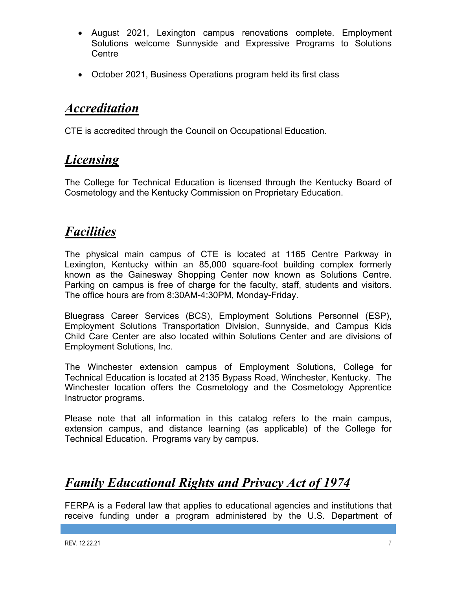- August 2021, Lexington campus renovations complete. Employment Solutions welcome Sunnyside and Expressive Programs to Solutions **Centre**
- October 2021, Business Operations program held its first class

# *Accreditation*

CTE is accredited through the Council on Occupational Education.

# *Licensing*

The College for Technical Education is licensed through the Kentucky Board of Cosmetology and the Kentucky Commission on Proprietary Education.

# *Facilities*

The physical main campus of CTE is located at 1165 Centre Parkway in Lexington, Kentucky within an 85,000 square-foot building complex formerly known as the Gainesway Shopping Center now known as Solutions Centre. Parking on campus is free of charge for the faculty, staff, students and visitors. The office hours are from 8:30AM-4:30PM, Monday-Friday.

Bluegrass Career Services (BCS), Employment Solutions Personnel (ESP), Employment Solutions Transportation Division, Sunnyside, and Campus Kids Child Care Center are also located within Solutions Center and are divisions of Employment Solutions, Inc.

The Winchester extension campus of Employment Solutions, College for Technical Education is located at 2135 Bypass Road, Winchester, Kentucky. The Winchester location offers the Cosmetology and the Cosmetology Apprentice Instructor programs.

Please note that all information in this catalog refers to the main campus, extension campus, and distance learning (as applicable) of the College for Technical Education. Programs vary by campus.

# *Family Educational Rights and Privacy Act of 1974*

FERPA is a Federal law that applies to educational agencies and institutions that receive funding under a program administered by the U.S. Department of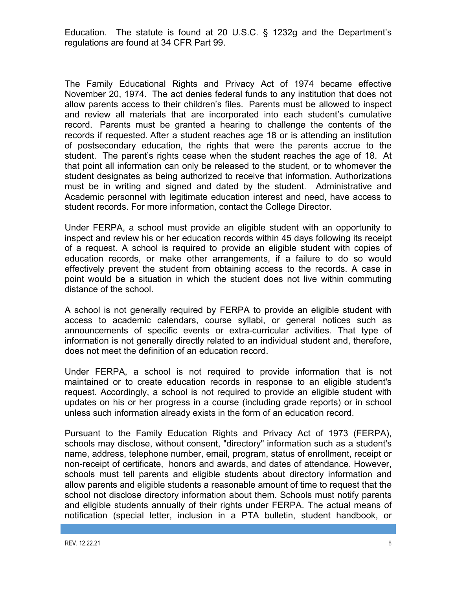Education. The statute is found at 20 U.S.C. § 1232g and the Department's regulations are found at 34 CFR Part 99.

The Family Educational Rights and Privacy Act of 1974 became effective November 20, 1974. The act denies federal funds to any institution that does not allow parents access to their children's files. Parents must be allowed to inspect and review all materials that are incorporated into each student's cumulative record. Parents must be granted a hearing to challenge the contents of the records if requested. After a student reaches age 18 or is attending an institution of postsecondary education, the rights that were the parents accrue to the student. The parent's rights cease when the student reaches the age of 18. At that point all information can only be released to the student, or to whomever the student designates as being authorized to receive that information. Authorizations must be in writing and signed and dated by the student. Administrative and Academic personnel with legitimate education interest and need, have access to student records. For more information, contact the College Director.

Under FERPA, a school must provide an eligible student with an opportunity to inspect and review his or her education records within 45 days following its receipt of a request. A school is required to provide an eligible student with copies of education records, or make other arrangements, if a failure to do so would effectively prevent the student from obtaining access to the records. A case in point would be a situation in which the student does not live within commuting distance of the school.

A school is not generally required by FERPA to provide an eligible student with access to academic calendars, course syllabi, or general notices such as announcements of specific events or extra-curricular activities. That type of information is not generally directly related to an individual student and, therefore, does not meet the definition of an education record.

Under FERPA, a school is not required to provide information that is not maintained or to create education records in response to an eligible student's request. Accordingly, a school is not required to provide an eligible student with updates on his or her progress in a course (including grade reports) or in school unless such information already exists in the form of an education record.

Pursuant to the Family Education Rights and Privacy Act of 1973 (FERPA), schools may disclose, without consent, "directory" information such as a student's name, address, telephone number, email, program, status of enrollment, receipt or non-receipt of certificate, honors and awards, and dates of attendance. However, schools must tell parents and eligible students about directory information and allow parents and eligible students a reasonable amount of time to request that the school not disclose directory information about them. Schools must notify parents and eligible students annually of their rights under FERPA. The actual means of notification (special letter, inclusion in a PTA bulletin, student handbook, or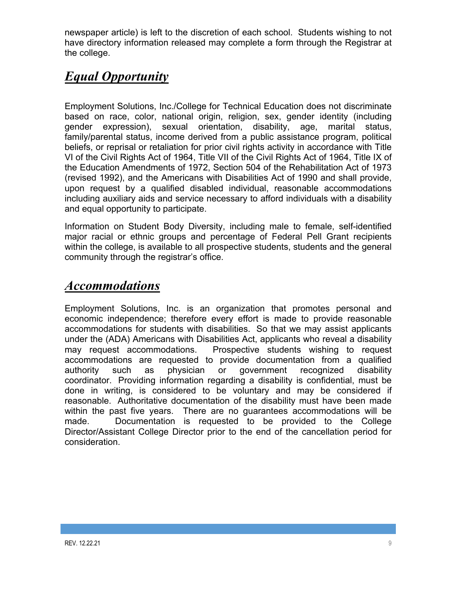newspaper article) is left to the discretion of each school. Students wishing to not have directory information released may complete a form through the Registrar at the college.

# *Equal Opportunity*

Employment Solutions, Inc./College for Technical Education does not discriminate based on race, color, national origin, religion, sex, gender identity (including gender expression), sexual orientation, disability, age, marital status, family/parental status, income derived from a public assistance program, political beliefs, or reprisal or retaliation for prior civil rights activity in accordance with Title VI of the Civil Rights Act of 1964, Title VII of the Civil Rights Act of 1964, Title IX of the Education Amendments of 1972, Section 504 of the Rehabilitation Act of 1973 (revised 1992), and the Americans with Disabilities Act of 1990 and shall provide, upon request by a qualified disabled individual, reasonable accommodations including auxiliary aids and service necessary to afford individuals with a disability and equal opportunity to participate.

Information on Student Body Diversity, including male to female, self-identified major racial or ethnic groups and percentage of Federal Pell Grant recipients within the college, is available to all prospective students, students and the general community through the registrar's office.

# *Accommodations*

Employment Solutions, Inc. is an organization that promotes personal and economic independence; therefore every effort is made to provide reasonable accommodations for students with disabilities. So that we may assist applicants under the (ADA) Americans with Disabilities Act, applicants who reveal a disability may request accommodations. Prospective students wishing to request accommodations are requested to provide documentation from a qualified authority such as physician or government recognized disability coordinator. Providing information regarding a disability is confidential, must be done in writing, is considered to be voluntary and may be considered if reasonable. Authoritative documentation of the disability must have been made within the past five years. There are no guarantees accommodations will be made. Documentation is requested to be provided to the College Director/Assistant College Director prior to the end of the cancellation period for consideration.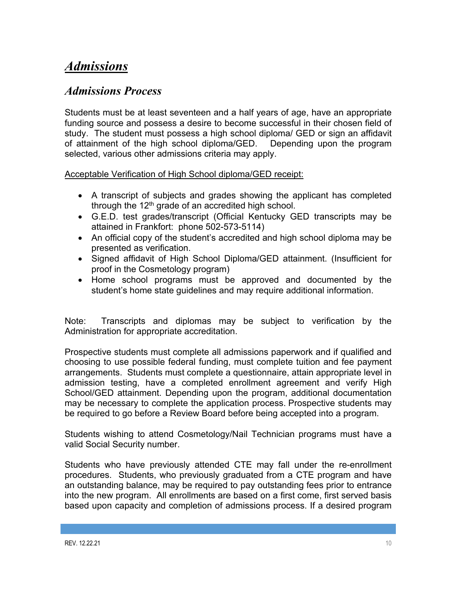# *Admissions*

## *Admissions Process*

Students must be at least seventeen and a half years of age, have an appropriate funding source and possess a desire to become successful in their chosen field of study. The student must possess a high school diploma/ GED or sign an affidavit of attainment of the high school diploma/GED. Depending upon the program selected, various other admissions criteria may apply.

Acceptable Verification of High School diploma/GED receipt:

- A transcript of subjects and grades showing the applicant has completed through the  $12<sup>th</sup>$  grade of an accredited high school.
- G.E.D. test grades/transcript (Official Kentucky GED transcripts may be attained in Frankfort: phone 502-573-5114)
- An official copy of the student's accredited and high school diploma may be presented as verification.
- Signed affidavit of High School Diploma/GED attainment. (Insufficient for proof in the Cosmetology program)
- Home school programs must be approved and documented by the student's home state guidelines and may require additional information.

Note: Transcripts and diplomas may be subject to verification by the Administration for appropriate accreditation.

Prospective students must complete all admissions paperwork and if qualified and choosing to use possible federal funding, must complete tuition and fee payment arrangements. Students must complete a questionnaire, attain appropriate level in admission testing, have a completed enrollment agreement and verify High School/GED attainment. Depending upon the program, additional documentation may be necessary to complete the application process. Prospective students may be required to go before a Review Board before being accepted into a program.

Students wishing to attend Cosmetology/Nail Technician programs must have a valid Social Security number.

Students who have previously attended CTE may fall under the re-enrollment procedures. Students, who previously graduated from a CTE program and have an outstanding balance, may be required to pay outstanding fees prior to entrance into the new program. All enrollments are based on a first come, first served basis based upon capacity and completion of admissions process. If a desired program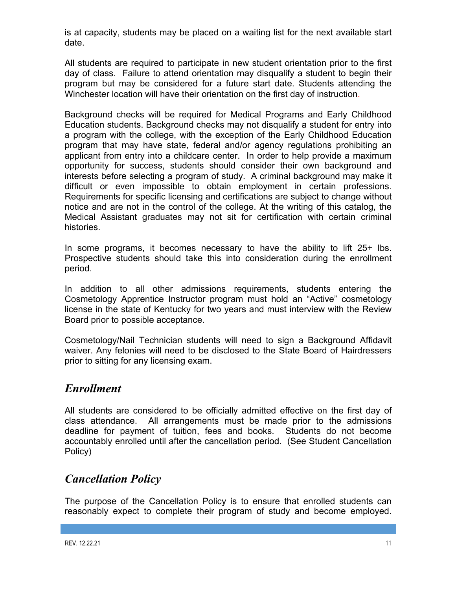is at capacity, students may be placed on a waiting list for the next available start date.

All students are required to participate in new student orientation prior to the first day of class. Failure to attend orientation may disqualify a student to begin their program but may be considered for a future start date. Students attending the Winchester location will have their orientation on the first day of instruction.

Background checks will be required for Medical Programs and Early Childhood Education students. Background checks may not disqualify a student for entry into a program with the college, with the exception of the Early Childhood Education program that may have state, federal and/or agency regulations prohibiting an applicant from entry into a childcare center. In order to help provide a maximum opportunity for success, students should consider their own background and interests before selecting a program of study. A criminal background may make it difficult or even impossible to obtain employment in certain professions. Requirements for specific licensing and certifications are subject to change without notice and are not in the control of the college. At the writing of this catalog, the Medical Assistant graduates may not sit for certification with certain criminal histories.

In some programs, it becomes necessary to have the ability to lift 25+ lbs. Prospective students should take this into consideration during the enrollment period.

In addition to all other admissions requirements, students entering the Cosmetology Apprentice Instructor program must hold an "Active" cosmetology license in the state of Kentucky for two years and must interview with the Review Board prior to possible acceptance.

Cosmetology/Nail Technician students will need to sign a Background Affidavit waiver. Any felonies will need to be disclosed to the State Board of Hairdressers prior to sitting for any licensing exam.

# *Enrollment*

All students are considered to be officially admitted effective on the first day of class attendance. All arrangements must be made prior to the admissions deadline for payment of tuition, fees and books. Students do not become accountably enrolled until after the cancellation period. (See Student Cancellation Policy)

# *Cancellation Policy*

The purpose of the Cancellation Policy is to ensure that enrolled students can reasonably expect to complete their program of study and become employed.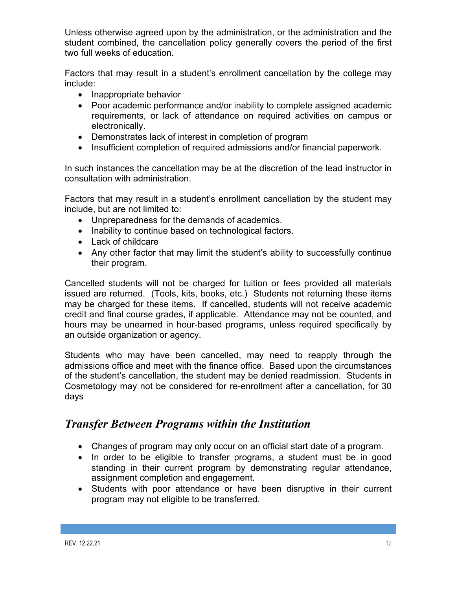Unless otherwise agreed upon by the administration, or the administration and the student combined, the cancellation policy generally covers the period of the first two full weeks of education.

Factors that may result in a student's enrollment cancellation by the college may include:

- Inappropriate behavior
- Poor academic performance and/or inability to complete assigned academic requirements, or lack of attendance on required activities on campus or electronically.
- Demonstrates lack of interest in completion of program
- Insufficient completion of required admissions and/or financial paperwork.

In such instances the cancellation may be at the discretion of the lead instructor in consultation with administration.

Factors that may result in a student's enrollment cancellation by the student may include, but are not limited to:

- Unpreparedness for the demands of academics.
- Inability to continue based on technological factors.
- Lack of childcare
- Any other factor that may limit the student's ability to successfully continue their program.

Cancelled students will not be charged for tuition or fees provided all materials issued are returned. (Tools, kits, books, etc.) Students not returning these items may be charged for these items. If cancelled, students will not receive academic credit and final course grades, if applicable. Attendance may not be counted, and hours may be unearned in hour-based programs, unless required specifically by an outside organization or agency.

Students who may have been cancelled, may need to reapply through the admissions office and meet with the finance office. Based upon the circumstances of the student's cancellation, the student may be denied readmission. Students in Cosmetology may not be considered for re-enrollment after a cancellation, for 30 days

# *Transfer Between Programs within the Institution*

- Changes of program may only occur on an official start date of a program.
- In order to be eligible to transfer programs, a student must be in good standing in their current program by demonstrating regular attendance, assignment completion and engagement.
- Students with poor attendance or have been disruptive in their current program may not eligible to be transferred.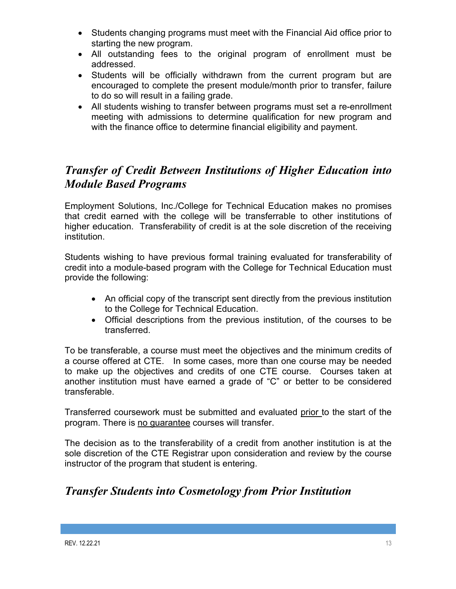- Students changing programs must meet with the Financial Aid office prior to starting the new program.
- All outstanding fees to the original program of enrollment must be addressed.
- Students will be officially withdrawn from the current program but are encouraged to complete the present module/month prior to transfer, failure to do so will result in a failing grade.
- All students wishing to transfer between programs must set a re-enrollment meeting with admissions to determine qualification for new program and with the finance office to determine financial eligibility and payment.

# *Transfer of Credit Between Institutions of Higher Education into Module Based Programs*

Employment Solutions, Inc./College for Technical Education makes no promises that credit earned with the college will be transferrable to other institutions of higher education. Transferability of credit is at the sole discretion of the receiving institution.

Students wishing to have previous formal training evaluated for transferability of credit into a module-based program with the College for Technical Education must provide the following:

- An official copy of the transcript sent directly from the previous institution to the College for Technical Education.
- Official descriptions from the previous institution, of the courses to be transferred.

To be transferable, a course must meet the objectives and the minimum credits of a course offered at CTE. In some cases, more than one course may be needed to make up the objectives and credits of one CTE course. Courses taken at another institution must have earned a grade of "C" or better to be considered transferable.

Transferred coursework must be submitted and evaluated prior to the start of the program. There is no guarantee courses will transfer.

The decision as to the transferability of a credit from another institution is at the sole discretion of the CTE Registrar upon consideration and review by the course instructor of the program that student is entering.

# *Transfer Students into Cosmetology from Prior Institution*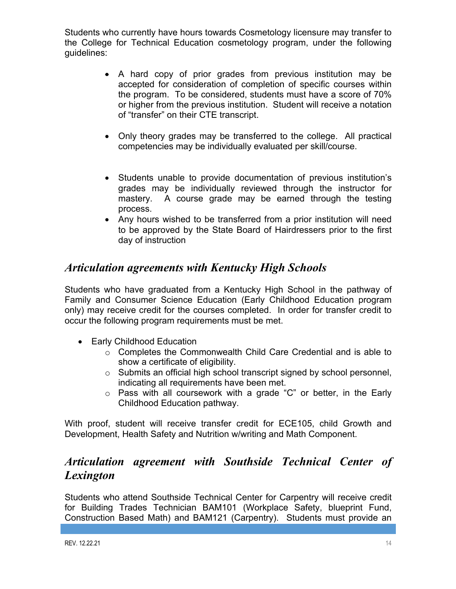Students who currently have hours towards Cosmetology licensure may transfer to the College for Technical Education cosmetology program, under the following guidelines:

- A hard copy of prior grades from previous institution may be accepted for consideration of completion of specific courses within the program. To be considered, students must have a score of 70% or higher from the previous institution. Student will receive a notation of "transfer" on their CTE transcript.
- Only theory grades may be transferred to the college. All practical competencies may be individually evaluated per skill/course.
- Students unable to provide documentation of previous institution's grades may be individually reviewed through the instructor for mastery. A course grade may be earned through the testing process.
- Any hours wished to be transferred from a prior institution will need to be approved by the State Board of Hairdressers prior to the first day of instruction

# *Articulation agreements with Kentucky High Schools*

Students who have graduated from a Kentucky High School in the pathway of Family and Consumer Science Education (Early Childhood Education program only) may receive credit for the courses completed. In order for transfer credit to occur the following program requirements must be met.

- Early Childhood Education
	- o Completes the Commonwealth Child Care Credential and is able to show a certificate of eligibility.
	- o Submits an official high school transcript signed by school personnel, indicating all requirements have been met.
	- o Pass with all coursework with a grade "C" or better, in the Early Childhood Education pathway.

With proof, student will receive transfer credit for ECE105, child Growth and Development, Health Safety and Nutrition w/writing and Math Component.

# *Articulation agreement with Southside Technical Center of Lexington*

Students who attend Southside Technical Center for Carpentry will receive credit for Building Trades Technician BAM101 (Workplace Safety, blueprint Fund, Construction Based Math) and BAM121 (Carpentry). Students must provide an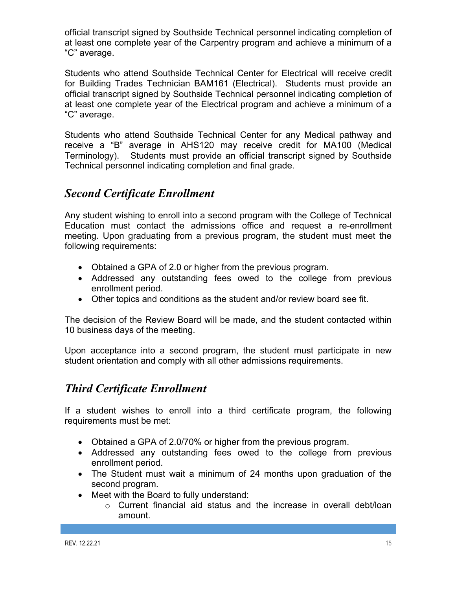official transcript signed by Southside Technical personnel indicating completion of at least one complete year of the Carpentry program and achieve a minimum of a "C" average.

Students who attend Southside Technical Center for Electrical will receive credit for Building Trades Technician BAM161 (Electrical). Students must provide an official transcript signed by Southside Technical personnel indicating completion of at least one complete year of the Electrical program and achieve a minimum of a "C" average.

Students who attend Southside Technical Center for any Medical pathway and receive a "B" average in AHS120 may receive credit for MA100 (Medical Terminology). Students must provide an official transcript signed by Southside Technical personnel indicating completion and final grade.

# *Second Certificate Enrollment*

Any student wishing to enroll into a second program with the College of Technical Education must contact the admissions office and request a re-enrollment meeting. Upon graduating from a previous program, the student must meet the following requirements:

- Obtained a GPA of 2.0 or higher from the previous program.
- Addressed any outstanding fees owed to the college from previous enrollment period.
- Other topics and conditions as the student and/or review board see fit.

The decision of the Review Board will be made, and the student contacted within 10 business days of the meeting.

Upon acceptance into a second program, the student must participate in new student orientation and comply with all other admissions requirements.

# *Third Certificate Enrollment*

If a student wishes to enroll into a third certificate program, the following requirements must be met:

- Obtained a GPA of 2.0/70% or higher from the previous program.
- Addressed any outstanding fees owed to the college from previous enrollment period.
- The Student must wait a minimum of 24 months upon graduation of the second program.
- Meet with the Board to fully understand:
	- $\circ$  Current financial aid status and the increase in overall debt/loan amount.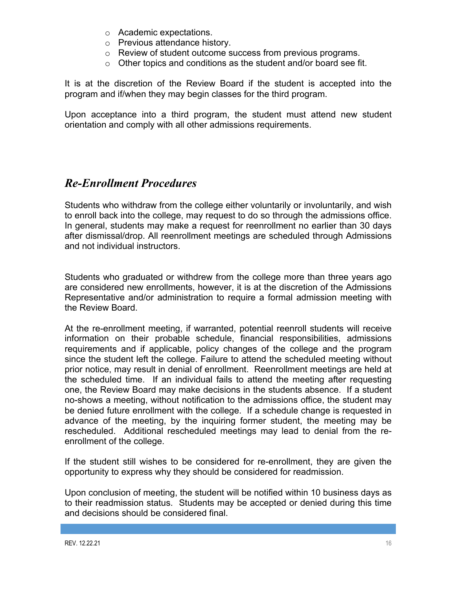- o Academic expectations.
- o Previous attendance history.
- o Review of student outcome success from previous programs.
- $\circ$  Other topics and conditions as the student and/or board see fit.

It is at the discretion of the Review Board if the student is accepted into the program and if/when they may begin classes for the third program.

Upon acceptance into a third program, the student must attend new student orientation and comply with all other admissions requirements.

## *Re-Enrollment Procedures*

Students who withdraw from the college either voluntarily or involuntarily, and wish to enroll back into the college, may request to do so through the admissions office. In general, students may make a request for reenrollment no earlier than 30 days after dismissal/drop. All reenrollment meetings are scheduled through Admissions and not individual instructors.

Students who graduated or withdrew from the college more than three years ago are considered new enrollments, however, it is at the discretion of the Admissions Representative and/or administration to require a formal admission meeting with the Review Board.

At the re-enrollment meeting, if warranted, potential reenroll students will receive information on their probable schedule, financial responsibilities, admissions requirements and if applicable, policy changes of the college and the program since the student left the college. Failure to attend the scheduled meeting without prior notice, may result in denial of enrollment. Reenrollment meetings are held at the scheduled time. If an individual fails to attend the meeting after requesting one, the Review Board may make decisions in the students absence. If a student no-shows a meeting, without notification to the admissions office, the student may be denied future enrollment with the college. If a schedule change is requested in advance of the meeting, by the inquiring former student, the meeting may be rescheduled. Additional rescheduled meetings may lead to denial from the reenrollment of the college.

If the student still wishes to be considered for re-enrollment, they are given the opportunity to express why they should be considered for readmission.

Upon conclusion of meeting, the student will be notified within 10 business days as to their readmission status. Students may be accepted or denied during this time and decisions should be considered final.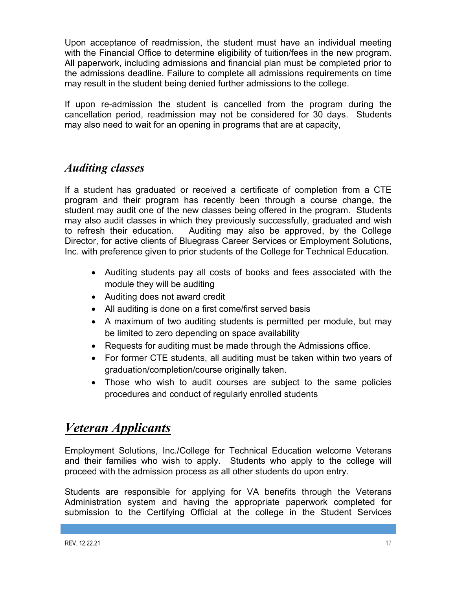Upon acceptance of readmission, the student must have an individual meeting with the Financial Office to determine eligibility of tuition/fees in the new program. All paperwork, including admissions and financial plan must be completed prior to the admissions deadline. Failure to complete all admissions requirements on time may result in the student being denied further admissions to the college.

If upon re-admission the student is cancelled from the program during the cancellation period, readmission may not be considered for 30 days. Students may also need to wait for an opening in programs that are at capacity,

# *Auditing classes*

If a student has graduated or received a certificate of completion from a CTE program and their program has recently been through a course change, the student may audit one of the new classes being offered in the program. Students may also audit classes in which they previously successfully, graduated and wish to refresh their education. Auditing may also be approved, by the College Director, for active clients of Bluegrass Career Services or Employment Solutions, Inc. with preference given to prior students of the College for Technical Education.

- Auditing students pay all costs of books and fees associated with the module they will be auditing
- Auditing does not award credit
- All auditing is done on a first come/first served basis
- A maximum of two auditing students is permitted per module, but may be limited to zero depending on space availability
- Requests for auditing must be made through the Admissions office.
- For former CTE students, all auditing must be taken within two years of graduation/completion/course originally taken.
- Those who wish to audit courses are subject to the same policies procedures and conduct of regularly enrolled students

# *Veteran Applicants*

Employment Solutions, Inc./College for Technical Education welcome Veterans and their families who wish to apply. Students who apply to the college will proceed with the admission process as all other students do upon entry.

Students are responsible for applying for VA benefits through the Veterans Administration system and having the appropriate paperwork completed for submission to the Certifying Official at the college in the Student Services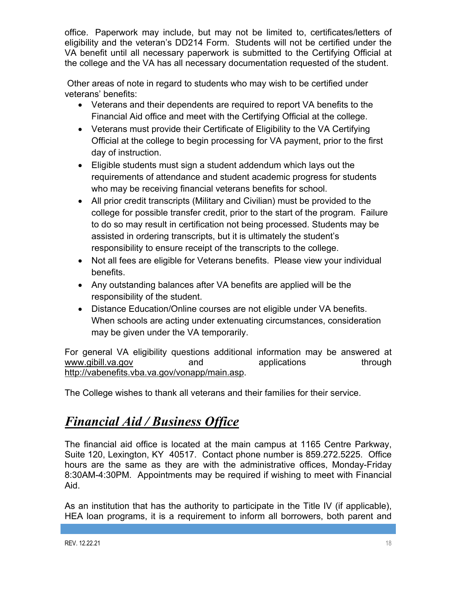office. Paperwork may include, but may not be limited to, certificates/letters of eligibility and the veteran's DD214 Form. Students will not be certified under the VA benefit until all necessary paperwork is submitted to the Certifying Official at the college and the VA has all necessary documentation requested of the student.

Other areas of note in regard to students who may wish to be certified under veterans' benefits:

- Veterans and their dependents are required to report VA benefits to the Financial Aid office and meet with the Certifying Official at the college.
- Veterans must provide their Certificate of Eligibility to the VA Certifying Official at the college to begin processing for VA payment, prior to the first day of instruction.
- Eligible students must sign a student addendum which lays out the requirements of attendance and student academic progress for students who may be receiving financial veterans benefits for school.
- All prior credit transcripts (Military and Civilian) must be provided to the college for possible transfer credit, prior to the start of the program. Failure to do so may result in certification not being processed. Students may be assisted in ordering transcripts, but it is ultimately the student's responsibility to ensure receipt of the transcripts to the college.
- Not all fees are eligible for Veterans benefits. Please view your individual benefits.
- Any outstanding balances after VA benefits are applied will be the responsibility of the student.
- Distance Education/Online courses are not eligible under VA benefits. When schools are acting under extenuating circumstances, consideration may be given under the VA temporarily.

For general VA eligibility questions additional information may be answered at www.gibill.va.gov and applications through http://vabenefits.vba.va.gov/vonapp/main.asp.

The College wishes to thank all veterans and their families for their service.

# *Financial Aid / Business Office*

The financial aid office is located at the main campus at 1165 Centre Parkway, Suite 120, Lexington, KY 40517. Contact phone number is 859.272.5225. Office hours are the same as they are with the administrative offices, Monday-Friday 8:30AM-4:30PM. Appointments may be required if wishing to meet with Financial Aid.

As an institution that has the authority to participate in the Title IV (if applicable), HEA loan programs, it is a requirement to inform all borrowers, both parent and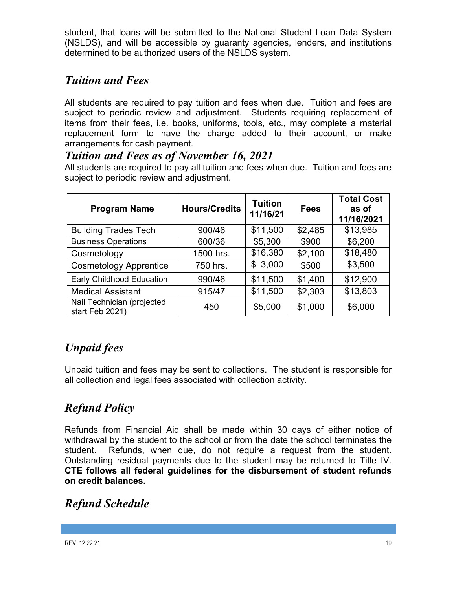student, that loans will be submitted to the National Student Loan Data System (NSLDS), and will be accessible by guaranty agencies, lenders, and institutions determined to be authorized users of the NSLDS system.

# *Tuition and Fees*

All students are required to pay tuition and fees when due. Tuition and fees are subject to periodic review and adjustment. Students requiring replacement of items from their fees, i.e. books, uniforms, tools, etc., may complete a material replacement form to have the charge added to their account, or make arrangements for cash payment.

# *Tuition and Fees as of November 16, 2021*

All students are required to pay all tuition and fees when due. Tuition and fees are subject to periodic review and adjustment.

| <b>Program Name</b>                           | <b>Hours/Credits</b> | <b>Tuition</b><br>11/16/21 | <b>Fees</b> | <b>Total Cost</b><br>as of<br>11/16/2021 |
|-----------------------------------------------|----------------------|----------------------------|-------------|------------------------------------------|
| <b>Building Trades Tech</b>                   | 900/46               | \$11,500                   | \$2,485     | \$13,985                                 |
| <b>Business Operations</b>                    | 600/36               | \$5,300                    | \$900       | \$6,200                                  |
| Cosmetology                                   | 1500 hrs.            | \$16,380                   | \$2,100     | \$18,480                                 |
| <b>Cosmetology Apprentice</b>                 | 750 hrs.             | \$3,000                    | \$500       | \$3,500                                  |
| Early Childhood Education                     | 990/46               | \$11,500                   | \$1,400     | \$12,900                                 |
| <b>Medical Assistant</b>                      | 915/47               | \$11,500                   | \$2,303     | \$13,803                                 |
| Nail Technician (projected<br>start Feb 2021) | 450                  | \$5,000                    | \$1,000     | \$6,000                                  |

# *Unpaid fees*

Unpaid tuition and fees may be sent to collections. The student is responsible for all collection and legal fees associated with collection activity.

# *Refund Policy*

Refunds from Financial Aid shall be made within 30 days of either notice of withdrawal by the student to the school or from the date the school terminates the student. Refunds, when due, do not require a request from the student. Outstanding residual payments due to the student may be returned to Title IV. **CTE follows all federal guidelines for the disbursement of student refunds on credit balances.**

# *Refund Schedule*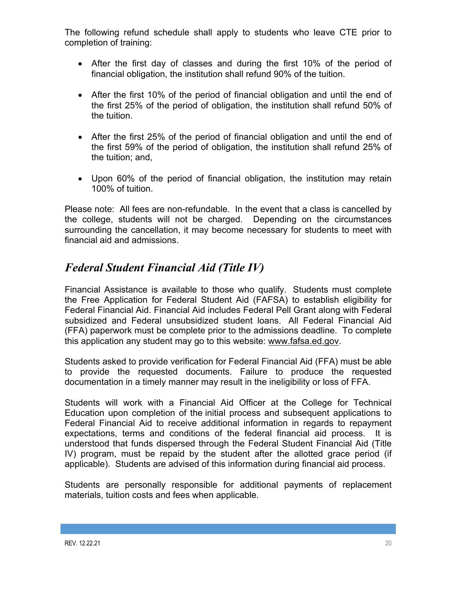The following refund schedule shall apply to students who leave CTE prior to completion of training:

- After the first day of classes and during the first 10% of the period of financial obligation, the institution shall refund 90% of the tuition.
- After the first 10% of the period of financial obligation and until the end of the first 25% of the period of obligation, the institution shall refund 50% of the tuition.
- After the first 25% of the period of financial obligation and until the end of the first 59% of the period of obligation, the institution shall refund 25% of the tuition; and,
- Upon 60% of the period of financial obligation, the institution may retain 100% of tuition.

Please note: All fees are non-refundable. In the event that a class is cancelled by the college, students will not be charged. Depending on the circumstances surrounding the cancellation, it may become necessary for students to meet with financial aid and admissions.

# *Federal Student Financial Aid (Title IV)*

Financial Assistance is available to those who qualify. Students must complete the Free Application for Federal Student Aid (FAFSA) to establish eligibility for Federal Financial Aid. Financial Aid includes Federal Pell Grant along with Federal subsidized and Federal unsubsidized student loans. All Federal Financial Aid (FFA) paperwork must be complete prior to the admissions deadline. To complete this application any student may go to this website: www.fafsa.ed.gov.

Students asked to provide verification for Federal Financial Aid (FFA) must be able to provide the requested documents. Failure to produce the requested documentation in a timely manner may result in the ineligibility or loss of FFA.

Students will work with a Financial Aid Officer at the College for Technical Education upon completion of the initial process and subsequent applications to Federal Financial Aid to receive additional information in regards to repayment expectations, terms and conditions of the federal financial aid process. It is understood that funds dispersed through the Federal Student Financial Aid (Title IV) program, must be repaid by the student after the allotted grace period (if applicable). Students are advised of this information during financial aid process.

Students are personally responsible for additional payments of replacement materials, tuition costs and fees when applicable.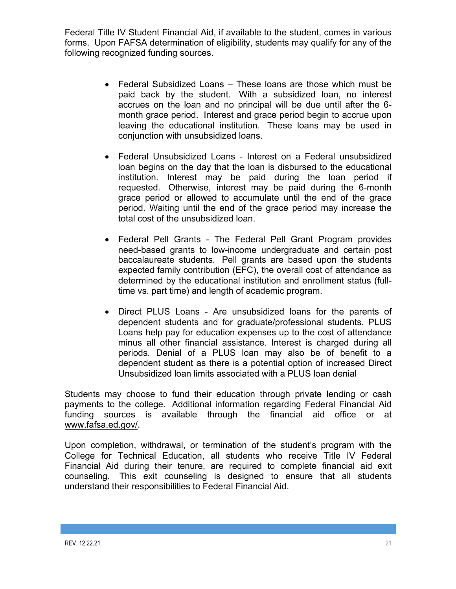Federal Title IV Student Financial Aid, if available to the student, comes in various forms. Upon FAFSA determination of eligibility, students may qualify for any of the following recognized funding sources.

- Federal Subsidized Loans These loans are those which must be paid back by the student. With a subsidized loan, no interest accrues on the loan and no principal will be due until after the 6 month grace period. Interest and grace period begin to accrue upon leaving the educational institution. These loans may be used in conjunction with unsubsidized loans.
- Federal Unsubsidized Loans Interest on a Federal unsubsidized loan begins on the day that the loan is disbursed to the educational institution. Interest may be paid during the loan period if requested. Otherwise, interest may be paid during the 6-month grace period or allowed to accumulate until the end of the grace period. Waiting until the end of the grace period may increase the total cost of the unsubsidized loan.
- Federal Pell Grants The Federal Pell Grant Program provides need-based grants to low-income undergraduate and certain post baccalaureate students. Pell grants are based upon the students expected family contribution (EFC), the overall cost of attendance as determined by the educational institution and enrollment status (fulltime vs. part time) and length of academic program.
- Direct PLUS Loans Are unsubsidized loans for the parents of dependent students and for graduate/professional students. PLUS Loans help pay for education expenses up to the cost of attendance minus all other financial assistance. Interest is charged during all periods. Denial of a PLUS loan may also be of benefit to a dependent student as there is a potential option of increased Direct Unsubsidized loan limits associated with a PLUS loan denial

Students may choose to fund their education through private lending or cash payments to the college. Additional information regarding Federal Financial Aid funding sources is available through the financial aid office or at www.fafsa.ed.gov/.

Upon completion, withdrawal, or termination of the student's program with the College for Technical Education, all students who receive Title IV Federal Financial Aid during their tenure, are required to complete financial aid exit counseling. This exit counseling is designed to ensure that all students understand their responsibilities to Federal Financial Aid.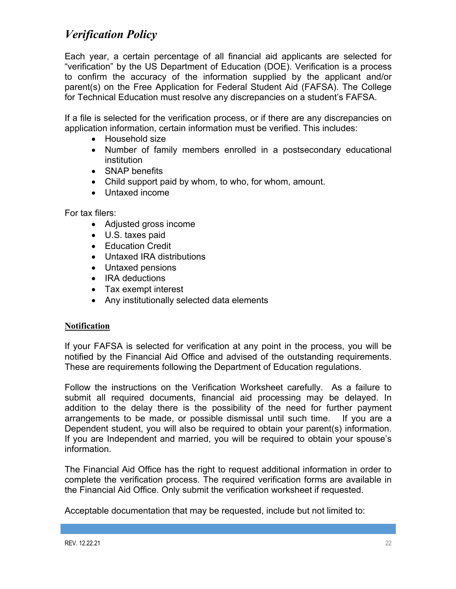# *Verification Policy*

Each year, a certain percentage of all financial aid applicants are selected for "verification" by the US Department of Education (DOE). Verification is a process to confirm the accuracy of the information supplied by the applicant and/or parent(s) on the Free Application for Federal Student Aid (FAFSA). The College for Technical Education must resolve any discrepancies on a student's FAFSA.

If a file is selected for the verification process, or if there are any discrepancies on application information, certain information must be verified. This includes:

- Household size
- Number of family members enrolled in a postsecondary educational institution
- SNAP benefits
- Child support paid by whom, to who, for whom, amount.
- Untaxed income

For tax filers:

- Adjusted gross income
- U.S. taxes paid
- Education Credit
- Untaxed IRA distributions
- Untaxed pensions
- IRA deductions
- Tax exempt interest
- Any institutionally selected data elements

### **Notification**

If your FAFSA is selected for verification at any point in the process, you will be notified by the Financial Aid Office and advised of the outstanding requirements. These are requirements following the Department of Education regulations.

Follow the instructions on the Verification Worksheet carefully. As a failure to submit all required documents, financial aid processing may be delayed. In addition to the delay there is the possibility of the need for further payment arrangements to be made, or possible dismissal until such time. If you are a Dependent student, you will also be required to obtain your parent(s) information. If you are Independent and married, you will be required to obtain your spouse's information.

The Financial Aid Office has the right to request additional information in order to complete the verification process. The required verification forms are available in the Financial Aid Office. Only submit the verification worksheet if requested.

Acceptable documentation that may be requested, include but not limited to: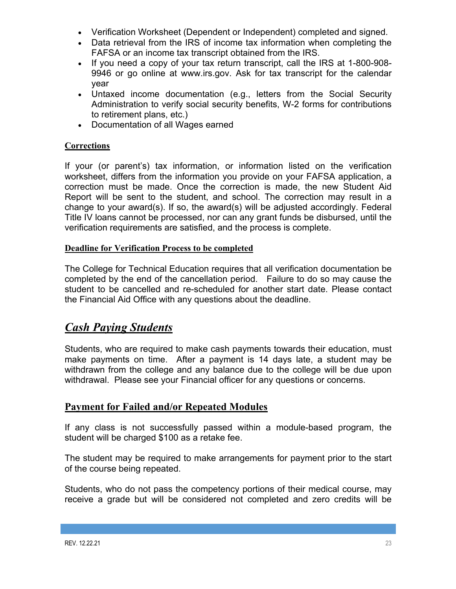- Verification Worksheet (Dependent or Independent) completed and signed.
- Data retrieval from the IRS of income tax information when completing the FAFSA or an income tax transcript obtained from the IRS.
- If you need a copy of your tax return transcript, call the IRS at 1-800-908- 9946 or go online at www.irs.gov. Ask for tax transcript for the calendar year
- Untaxed income documentation (e.g., letters from the Social Security Administration to verify social security benefits, W-2 forms for contributions to retirement plans, etc.)
- Documentation of all Wages earned

## **Corrections**

If your (or parent's) tax information, or information listed on the verification worksheet, differs from the information you provide on your FAFSA application, a correction must be made. Once the correction is made, the new Student Aid Report will be sent to the student, and school. The correction may result in a change to your award(s). If so, the award(s) will be adjusted accordingly. Federal Title IV loans cannot be processed, nor can any grant funds be disbursed, until the verification requirements are satisfied, and the process is complete.

## **Deadline for Verification Process to be completed**

The College for Technical Education requires that all verification documentation be completed by the end of the cancellation period. Failure to do so may cause the student to be cancelled and re-scheduled for another start date. Please contact the Financial Aid Office with any questions about the deadline.

# *Cash Paying Students*

Students, who are required to make cash payments towards their education, must make payments on time. After a payment is 14 days late, a student may be withdrawn from the college and any balance due to the college will be due upon withdrawal. Please see your Financial officer for any questions or concerns.

## **Payment for Failed and/or Repeated Modules**

If any class is not successfully passed within a module-based program, the student will be charged \$100 as a retake fee.

The student may be required to make arrangements for payment prior to the start of the course being repeated.

Students, who do not pass the competency portions of their medical course, may receive a grade but will be considered not completed and zero credits will be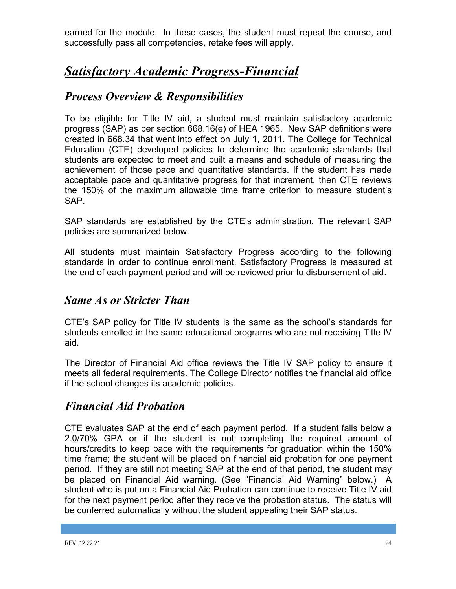earned for the module. In these cases, the student must repeat the course, and successfully pass all competencies, retake fees will apply.

# *Satisfactory Academic Progress-Financial*

## *Process Overview & Responsibilities*

To be eligible for Title IV aid, a student must maintain satisfactory academic progress (SAP) as per section 668.16(e) of HEA 1965. New SAP definitions were created in 668.34 that went into effect on July 1, 2011. The College for Technical Education (CTE) developed policies to determine the academic standards that students are expected to meet and built a means and schedule of measuring the achievement of those pace and quantitative standards. If the student has made acceptable pace and quantitative progress for that increment, then CTE reviews the 150% of the maximum allowable time frame criterion to measure student's SAP.

SAP standards are established by the CTE's administration. The relevant SAP policies are summarized below.

All students must maintain Satisfactory Progress according to the following standards in order to continue enrollment. Satisfactory Progress is measured at the end of each payment period and will be reviewed prior to disbursement of aid.

## *Same As or Stricter Than*

CTE's SAP policy for Title IV students is the same as the school's standards for students enrolled in the same educational programs who are not receiving Title IV aid.

The Director of Financial Aid office reviews the Title IV SAP policy to ensure it meets all federal requirements. The College Director notifies the financial aid office if the school changes its academic policies.

# *Financial Aid Probation*

CTE evaluates SAP at the end of each payment period. If a student falls below a 2.0/70% GPA or if the student is not completing the required amount of hours/credits to keep pace with the requirements for graduation within the 150% time frame; the student will be placed on financial aid probation for one payment period. If they are still not meeting SAP at the end of that period, the student may be placed on Financial Aid warning. (See "Financial Aid Warning" below.) A student who is put on a Financial Aid Probation can continue to receive Title IV aid for the next payment period after they receive the probation status. The status will be conferred automatically without the student appealing their SAP status.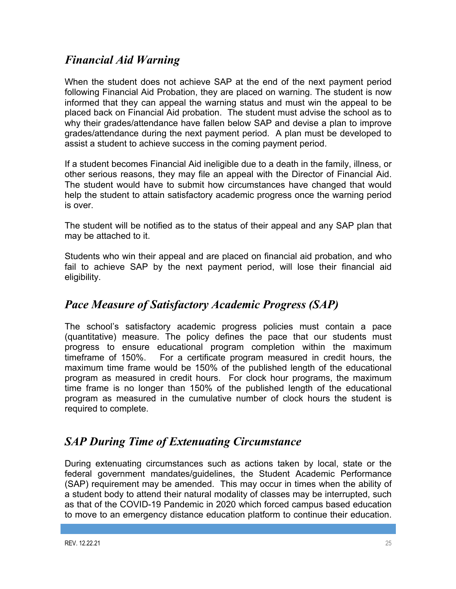# *Financial Aid Warning*

When the student does not achieve SAP at the end of the next payment period following Financial Aid Probation, they are placed on warning. The student is now informed that they can appeal the warning status and must win the appeal to be placed back on Financial Aid probation. The student must advise the school as to why their grades/attendance have fallen below SAP and devise a plan to improve grades/attendance during the next payment period. A plan must be developed to assist a student to achieve success in the coming payment period.

If a student becomes Financial Aid ineligible due to a death in the family, illness, or other serious reasons, they may file an appeal with the Director of Financial Aid. The student would have to submit how circumstances have changed that would help the student to attain satisfactory academic progress once the warning period is over.

The student will be notified as to the status of their appeal and any SAP plan that may be attached to it.

Students who win their appeal and are placed on financial aid probation, and who fail to achieve SAP by the next payment period, will lose their financial aid eligibility.

# *Pace Measure of Satisfactory Academic Progress (SAP)*

The school's satisfactory academic progress policies must contain a pace (quantitative) measure. The policy defines the pace that our students must progress to ensure educational program completion within the maximum timeframe of 150%. For a certificate program measured in credit hours, the maximum time frame would be 150% of the published length of the educational program as measured in credit hours. For clock hour programs, the maximum time frame is no longer than 150% of the published length of the educational program as measured in the cumulative number of clock hours the student is required to complete.

# *SAP During Time of Extenuating Circumstance*

During extenuating circumstances such as actions taken by local, state or the federal government mandates/guidelines, the Student Academic Performance (SAP) requirement may be amended. This may occur in times when the ability of a student body to attend their natural modality of classes may be interrupted, such as that of the COVID-19 Pandemic in 2020 which forced campus based education to move to an emergency distance education platform to continue their education.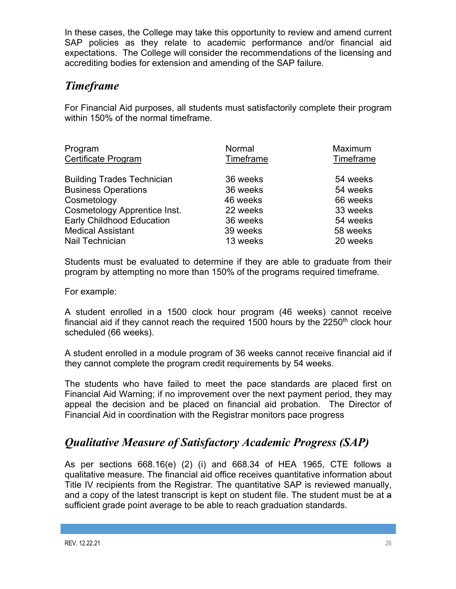In these cases, the College may take this opportunity to review and amend current SAP policies as they relate to academic performance and/or financial aid expectations. The College will consider the recommendations of the licensing and accrediting bodies for extension and amending of the SAP failure.

# *Timeframe*

For Financial Aid purposes, all students must satisfactorily complete their program within 150% of the normal timeframe.

| Program                           | Normal    | Maximum   |
|-----------------------------------|-----------|-----------|
| Certificate Program               | Timeframe | Timeframe |
| <b>Building Trades Technician</b> | 36 weeks  | 54 weeks  |
| <b>Business Operations</b>        | 36 weeks  | 54 weeks  |
| Cosmetology                       | 46 weeks  | 66 weeks  |
| Cosmetology Apprentice Inst.      | 22 weeks  | 33 weeks  |
| <b>Early Childhood Education</b>  | 36 weeks  | 54 weeks  |
| <b>Medical Assistant</b>          | 39 weeks  | 58 weeks  |
| Nail Technician                   | 13 weeks  | 20 weeks  |

Students must be evaluated to determine if they are able to graduate from their program by attempting no more than 150% of the programs required timeframe.

For example:

A student enrolled in a 1500 clock hour program (46 weeks) cannot receive financial aid if they cannot reach the required 1500 hours by the  $2250<sup>th</sup>$  clock hour scheduled (66 weeks).

A student enrolled in a module program of 36 weeks cannot receive financial aid if they cannot complete the program credit requirements by 54 weeks.

The students who have failed to meet the pace standards are placed first on Financial Aid Warning; if no improvement over the next payment period, they may appeal the decision and be placed on financial aid probation. The Director of Financial Aid in coordination with the Registrar monitors pace progress

# *Qualitative Measure of Satisfactory Academic Progress (SAP)*

As per sections 668.16(e) (2) (i) and 668.34 of HEA 1965, CTE follows a qualitative measure. The financial aid office receives quantitative information about Title IV recipients from the Registrar. The quantitative SAP is reviewed manually, and a copy of the latest transcript is kept on student file. The student must be at a sufficient grade point average to be able to reach graduation standards.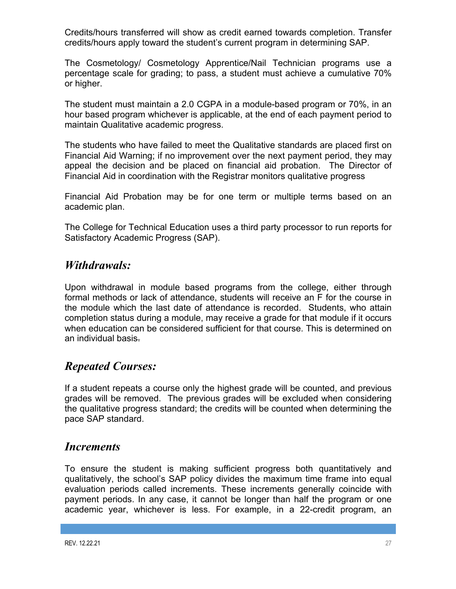Credits/hours transferred will show as credit earned towards completion. Transfer credits/hours apply toward the student's current program in determining SAP.

The Cosmetology/ Cosmetology Apprentice/Nail Technician programs use a percentage scale for grading; to pass, a student must achieve a cumulative 70% or higher.

The student must maintain a 2.0 CGPA in a module-based program or 70%, in an hour based program whichever is applicable, at the end of each payment period to maintain Qualitative academic progress.

The students who have failed to meet the Qualitative standards are placed first on Financial Aid Warning; if no improvement over the next payment period, they may appeal the decision and be placed on financial aid probation. The Director of Financial Aid in coordination with the Registrar monitors qualitative progress

Financial Aid Probation may be for one term or multiple terms based on an academic plan.

The College for Technical Education uses a third party processor to run reports for Satisfactory Academic Progress (SAP).

## *Withdrawals:*

Upon withdrawal in module based programs from the college, either through formal methods or lack of attendance, students will receive an F for the course in the module which the last date of attendance is recorded. Students, who attain completion status during a module, may receive a grade for that module if it occurs when education can be considered sufficient for that course. This is determined on an individual basis.

# *Repeated Courses:*

If a student repeats a course only the highest grade will be counted, and previous grades will be removed. The previous grades will be excluded when considering the qualitative progress standard; the credits will be counted when determining the pace SAP standard.

## *Increments*

To ensure the student is making sufficient progress both quantitatively and qualitatively, the school's SAP policy divides the maximum time frame into equal evaluation periods called increments. These increments generally coincide with payment periods. In any case, it cannot be longer than half the program or one academic year, whichever is less. For example, in a 22-credit program, an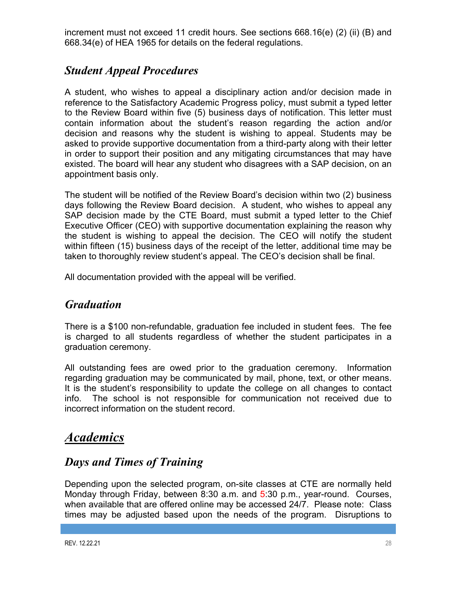increment must not exceed 11 credit hours. See sections 668.16(e) (2) (ii) (B) and 668.34(e) of HEA 1965 for details on the federal regulations.

# *Student Appeal Procedures*

A student, who wishes to appeal a disciplinary action and/or decision made in reference to the Satisfactory Academic Progress policy, must submit a typed letter to the Review Board within five (5) business days of notification. This letter must contain information about the student's reason regarding the action and/or decision and reasons why the student is wishing to appeal. Students may be asked to provide supportive documentation from a third-party along with their letter in order to support their position and any mitigating circumstances that may have existed. The board will hear any student who disagrees with a SAP decision, on an appointment basis only.

The student will be notified of the Review Board's decision within two (2) business days following the Review Board decision. A student, who wishes to appeal any SAP decision made by the CTE Board, must submit a typed letter to the Chief Executive Officer (CEO) with supportive documentation explaining the reason why the student is wishing to appeal the decision. The CEO will notify the student within fifteen (15) business days of the receipt of the letter, additional time may be taken to thoroughly review student's appeal. The CEO's decision shall be final.

All documentation provided with the appeal will be verified.

# *Graduation*

There is a \$100 non-refundable, graduation fee included in student fees. The fee is charged to all students regardless of whether the student participates in a graduation ceremony.

All outstanding fees are owed prior to the graduation ceremony. Information regarding graduation may be communicated by mail, phone, text, or other means. It is the student's responsibility to update the college on all changes to contact info. The school is not responsible for communication not received due to incorrect information on the student record.

# *Academics*

# *Days and Times of Training*

Depending upon the selected program, on-site classes at CTE are normally held Monday through Friday, between 8:30 a.m. and 5:30 p.m., year-round. Courses, when available that are offered online may be accessed 24/7. Please note: Class times may be adjusted based upon the needs of the program. Disruptions to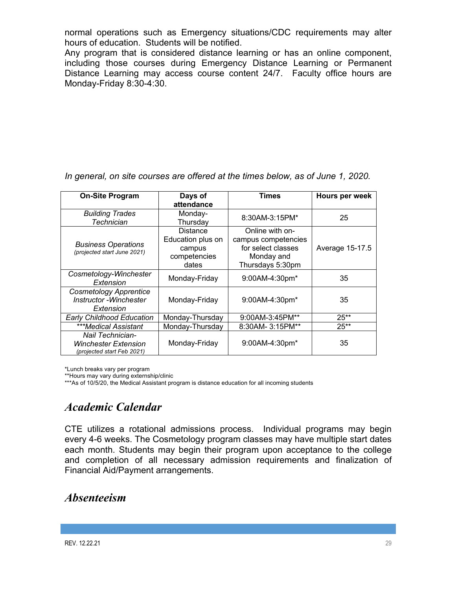normal operations such as Emergency situations/CDC requirements may alter hours of education. Students will be notified.

Any program that is considered distance learning or has an online component, including those courses during Emergency Distance Learning or Permanent Distance Learning may access course content 24/7. Faculty office hours are Monday-Friday 8:30-4:30.

*In general, on site courses are offered at the times below, as of June 1, 2020.* 

| <b>On-Site Program</b>                                                | Days of           | Times               | Hours per week  |
|-----------------------------------------------------------------------|-------------------|---------------------|-----------------|
|                                                                       | attendance        |                     |                 |
| <b>Building Trades</b>                                                | Monday-           | 8:30AM-3:15PM*      | 25              |
| Technician                                                            | Thursday          |                     |                 |
|                                                                       | <b>Distance</b>   | Online with on-     |                 |
| <b>Business Operations</b>                                            | Education plus on | campus competencies |                 |
| (projected start June 2021)                                           | campus            | for select classes  | Average 15-17.5 |
|                                                                       | competencies      | Monday and          |                 |
|                                                                       | dates             | Thursdays 5:30pm    |                 |
| Cosmetology-Winchester<br>Extension                                   | Monday-Friday     | 9:00AM-4:30pm*      | 35              |
| <b>Cosmetology Apprentice</b><br>Instructor - Winchester<br>Extension | Monday-Friday     | 9:00AM-4:30pm*      | 35              |
| <b>Early Childhood Education</b>                                      | Monday-Thursday   | 9:00AM-3:45PM**     | $25**$          |
| ***Medical Assistant                                                  | Monday-Thursday   | 8:30AM-3:15PM**     | $25**$          |
| Nail Technician-                                                      |                   |                     |                 |
| <b>Winchester Extension</b><br>(projected start Feb 2021)             | Monday-Friday     | 9:00AM-4:30pm*      | 35              |

\*Lunch breaks vary per program

\*\*Hours may vary during externship/clinic

\*\*\*As of 10/5/20, the Medical Assistant program is distance education for all incoming students

# *Academic Calendar*

CTE utilizes a rotational admissions process. Individual programs may begin every 4-6 weeks. The Cosmetology program classes may have multiple start dates each month. Students may begin their program upon acceptance to the college and completion of all necessary admission requirements and finalization of Financial Aid/Payment arrangements.

# *Absenteeism*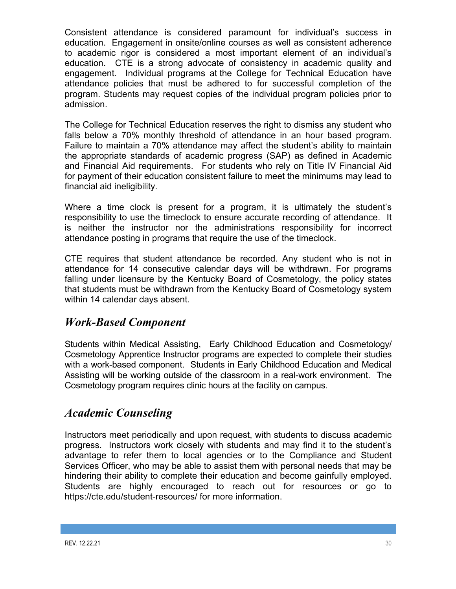Consistent attendance is considered paramount for individual's success in education. Engagement in onsite/online courses as well as consistent adherence to academic rigor is considered a most important element of an individual's education. CTE is a strong advocate of consistency in academic quality and engagement. Individual programs at the College for Technical Education have attendance policies that must be adhered to for successful completion of the program. Students may request copies of the individual program policies prior to admission.

The College for Technical Education reserves the right to dismiss any student who falls below a 70% monthly threshold of attendance in an hour based program. Failure to maintain a 70% attendance may affect the student's ability to maintain the appropriate standards of academic progress (SAP) as defined in Academic and Financial Aid requirements. For students who rely on Title IV Financial Aid for payment of their education consistent failure to meet the minimums may lead to financial aid ineligibility.

Where a time clock is present for a program, it is ultimately the student's responsibility to use the timeclock to ensure accurate recording of attendance. It is neither the instructor nor the administrations responsibility for incorrect attendance posting in programs that require the use of the timeclock.

CTE requires that student attendance be recorded. Any student who is not in attendance for 14 consecutive calendar days will be withdrawn. For programs falling under licensure by the Kentucky Board of Cosmetology, the policy states that students must be withdrawn from the Kentucky Board of Cosmetology system within 14 calendar days absent.

# *Work-Based Component*

Students within Medical Assisting, Early Childhood Education and Cosmetology/ Cosmetology Apprentice Instructor programs are expected to complete their studies with a work-based component. Students in Early Childhood Education and Medical Assisting will be working outside of the classroom in a real-work environment. The Cosmetology program requires clinic hours at the facility on campus.

# *Academic Counseling*

Instructors meet periodically and upon request, with students to discuss academic progress. Instructors work closely with students and may find it to the student's advantage to refer them to local agencies or to the Compliance and Student Services Officer, who may be able to assist them with personal needs that may be hindering their ability to complete their education and become gainfully employed. Students are highly encouraged to reach out for resources or go to https://cte.edu/student-resources/ for more information.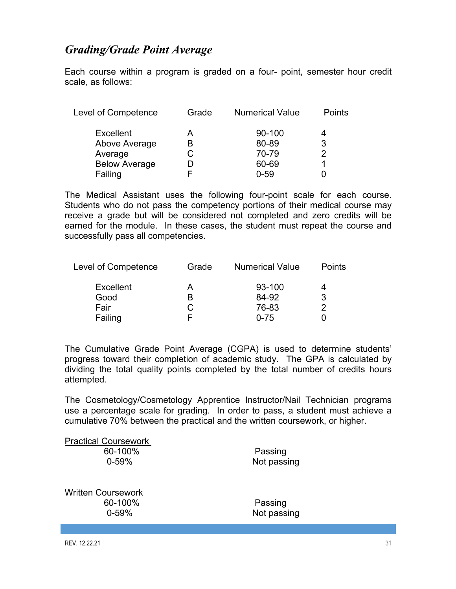# *Grading/Grade Point Average*

Each course within a program is graded on a four- point, semester hour credit scale, as follows:

| Grade | <b>Numerical Value</b> | <b>Points</b> |
|-------|------------------------|---------------|
| А     | 90-100                 |               |
| B     | 80-89                  | 3             |
| С     | 70-79                  | 2             |
|       | 60-69                  |               |
|       | $0 - 59$               |               |
|       |                        |               |

The Medical Assistant uses the following four-point scale for each course. Students who do not pass the competency portions of their medical course may receive a grade but will be considered not completed and zero credits will be earned for the module. In these cases, the student must repeat the course and successfully pass all competencies.

| <b>Level of Competence</b> | Grade | <b>Numerical Value</b> | Points |
|----------------------------|-------|------------------------|--------|
| <b>Excellent</b>           | A     | 93-100                 |        |
| Good                       | R     | 84-92                  | 3      |
| Fair                       | С     | 76-83                  |        |
| Failing                    |       | $0 - 75$               |        |

The Cumulative Grade Point Average (CGPA) is used to determine students' progress toward their completion of academic study. The GPA is calculated by dividing the total quality points completed by the total number of credits hours attempted.

The Cosmetology/Cosmetology Apprentice Instructor/Nail Technician programs use a percentage scale for grading. In order to pass, a student must achieve a cumulative 70% between the practical and the written coursework, or higher.

| <b>Practical Coursework</b>                       |                        |
|---------------------------------------------------|------------------------|
| 60-100%                                           | Passing                |
| $0 - 59%$                                         | Not passing            |
| <b>Written Coursework</b><br>60-100%<br>$0 - 59%$ | Passing<br>Not passing |
|                                                   |                        |
|                                                   |                        |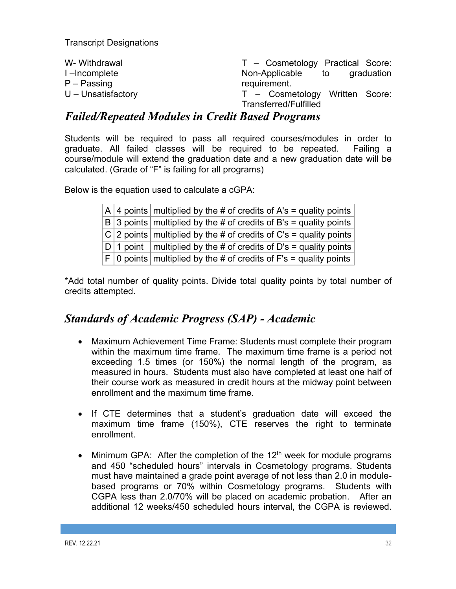| W- Withdrawal        | T - Cosmetology Practical Score: |
|----------------------|----------------------------------|
| I-Incomplete         | Non-Applicable to<br>graduation  |
| $P -$ Passing        | requirement.                     |
| $U$ – Unsatisfactory | T – Cosmetology Written Score:   |
|                      | Transferred/Fulfilled            |

## *Failed/Repeated Modules in Credit Based Programs*

Students will be required to pass all required courses/modules in order to graduate. All failed classes will be required to be repeated. Failing a course/module will extend the graduation date and a new graduation date will be calculated. (Grade of "F" is failing for all programs)

Below is the equation used to calculate a cGPA:

|  | $ A $ 4 points $ $ multiplied by the # of credits of A's = quality points $ $ |
|--|-------------------------------------------------------------------------------|
|  | $ B $ 3 points multiplied by the # of credits of B's = quality points         |
|  | $ C $ 2 points multiplied by the # of credits of C's = quality points         |
|  | $ D 1$ point   multiplied by the # of credits of D's = quality points         |
|  | $ F 0$ points multiplied by the # of credits of F's = quality points          |

\*Add total number of quality points. Divide total quality points by total number of credits attempted.

# *Standards of Academic Progress (SAP) - Academic*

- Maximum Achievement Time Frame: Students must complete their program within the maximum time frame. The maximum time frame is a period not exceeding 1.5 times (or 150%) the normal length of the program, as measured in hours. Students must also have completed at least one half of their course work as measured in credit hours at the midway point between enrollment and the maximum time frame.
- If CTE determines that a student's graduation date will exceed the maximum time frame (150%), CTE reserves the right to terminate enrollment.
- Minimum GPA: After the completion of the  $12<sup>th</sup>$  week for module programs and 450 "scheduled hours" intervals in Cosmetology programs. Students must have maintained a grade point average of not less than 2.0 in modulebased programs or 70% within Cosmetology programs. Students with CGPA less than 2.0/70% will be placed on academic probation. After an additional 12 weeks/450 scheduled hours interval, the CGPA is reviewed.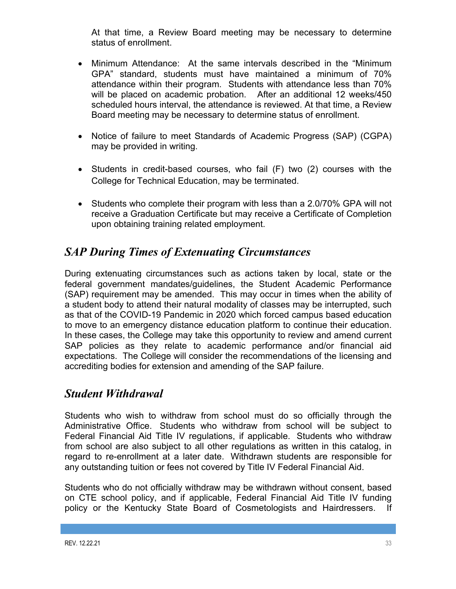At that time, a Review Board meeting may be necessary to determine status of enrollment.

- Minimum Attendance: At the same intervals described in the "Minimum GPA" standard, students must have maintained a minimum of 70% attendance within their program. Students with attendance less than 70% will be placed on academic probation. After an additional 12 weeks/450 scheduled hours interval, the attendance is reviewed. At that time, a Review Board meeting may be necessary to determine status of enrollment.
- Notice of failure to meet Standards of Academic Progress (SAP) (CGPA) may be provided in writing.
- Students in credit-based courses, who fail (F) two (2) courses with the College for Technical Education, may be terminated.
- Students who complete their program with less than a 2.0/70% GPA will not receive a Graduation Certificate but may receive a Certificate of Completion upon obtaining training related employment.

# *SAP During Times of Extenuating Circumstances*

During extenuating circumstances such as actions taken by local, state or the federal government mandates/guidelines, the Student Academic Performance (SAP) requirement may be amended. This may occur in times when the ability of a student body to attend their natural modality of classes may be interrupted, such as that of the COVID-19 Pandemic in 2020 which forced campus based education to move to an emergency distance education platform to continue their education. In these cases, the College may take this opportunity to review and amend current SAP policies as they relate to academic performance and/or financial aid expectations. The College will consider the recommendations of the licensing and accrediting bodies for extension and amending of the SAP failure.

# *Student Withdrawal*

Students who wish to withdraw from school must do so officially through the Administrative Office. Students who withdraw from school will be subject to Federal Financial Aid Title IV regulations, if applicable. Students who withdraw from school are also subject to all other regulations as written in this catalog, in regard to re-enrollment at a later date. Withdrawn students are responsible for any outstanding tuition or fees not covered by Title IV Federal Financial Aid.

Students who do not officially withdraw may be withdrawn without consent, based on CTE school policy, and if applicable, Federal Financial Aid Title IV funding policy or the Kentucky State Board of Cosmetologists and Hairdressers. If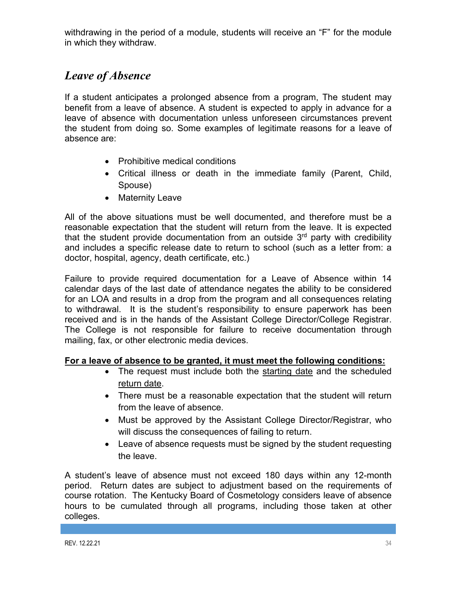withdrawing in the period of a module, students will receive an "F" for the module in which they withdraw.

# *Leave of Absence*

If a student anticipates a prolonged absence from a program, The student may benefit from a leave of absence. A student is expected to apply in advance for a leave of absence with documentation unless unforeseen circumstances prevent the student from doing so. Some examples of legitimate reasons for a leave of absence are:

- Prohibitive medical conditions
- Critical illness or death in the immediate family (Parent, Child, Spouse)
- Maternity Leave

All of the above situations must be well documented, and therefore must be a reasonable expectation that the student will return from the leave. It is expected that the student provide documentation from an outside  $3<sup>rd</sup>$  party with credibility and includes a specific release date to return to school (such as a letter from: a doctor, hospital, agency, death certificate, etc.)

Failure to provide required documentation for a Leave of Absence within 14 calendar days of the last date of attendance negates the ability to be considered for an LOA and results in a drop from the program and all consequences relating to withdrawal. It is the student's responsibility to ensure paperwork has been received and is in the hands of the Assistant College Director/College Registrar. The College is not responsible for failure to receive documentation through mailing, fax, or other electronic media devices.

## **For a leave of absence to be granted, it must meet the following conditions:**

- The request must include both the starting date and the scheduled return date.
- There must be a reasonable expectation that the student will return from the leave of absence.
- Must be approved by the Assistant College Director/Registrar, who will discuss the consequences of failing to return.
- Leave of absence requests must be signed by the student requesting the leave.

A student's leave of absence must not exceed 180 days within any 12-month period. Return dates are subject to adjustment based on the requirements of course rotation. The Kentucky Board of Cosmetology considers leave of absence hours to be cumulated through all programs, including those taken at other colleges.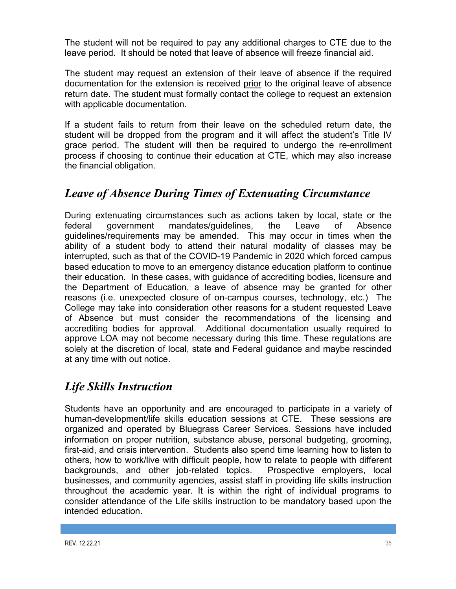The student will not be required to pay any additional charges to CTE due to the leave period. It should be noted that leave of absence will freeze financial aid.

The student may request an extension of their leave of absence if the required documentation for the extension is received prior to the original leave of absence return date. The student must formally contact the college to request an extension with applicable documentation.

If a student fails to return from their leave on the scheduled return date, the student will be dropped from the program and it will affect the student's Title IV grace period. The student will then be required to undergo the re-enrollment process if choosing to continue their education at CTE, which may also increase the financial obligation.

# *Leave of Absence During Times of Extenuating Circumstance*

During extenuating circumstances such as actions taken by local, state or the federal government mandates/guidelines, the Leave of Absence guidelines/requirements may be amended. This may occur in times when the ability of a student body to attend their natural modality of classes may be interrupted, such as that of the COVID-19 Pandemic in 2020 which forced campus based education to move to an emergency distance education platform to continue their education. In these cases, with guidance of accrediting bodies, licensure and the Department of Education, a leave of absence may be granted for other reasons (i.e. unexpected closure of on-campus courses, technology, etc.) The College may take into consideration other reasons for a student requested Leave of Absence but must consider the recommendations of the licensing and accrediting bodies for approval. Additional documentation usually required to approve LOA may not become necessary during this time. These regulations are solely at the discretion of local, state and Federal guidance and maybe rescinded at any time with out notice.

# *Life Skills Instruction*

Students have an opportunity and are encouraged to participate in a variety of human-development/life skills education sessions at CTE. These sessions are organized and operated by Bluegrass Career Services. Sessions have included information on proper nutrition, substance abuse, personal budgeting, grooming, first-aid, and crisis intervention. Students also spend time learning how to listen to others, how to work/live with difficult people, how to relate to people with different backgrounds, and other job-related topics. Prospective employers, local businesses, and community agencies, assist staff in providing life skills instruction throughout the academic year. It is within the right of individual programs to consider attendance of the Life skills instruction to be mandatory based upon the intended education.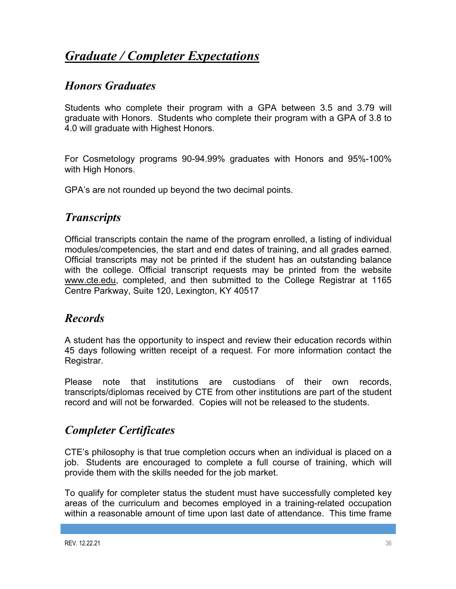# *Graduate / Completer Expectations*

## *Honors Graduates*

Students who complete their program with a GPA between 3.5 and 3.79 will graduate with Honors. Students who complete their program with a GPA of 3.8 to 4.0 will graduate with Highest Honors.

For Cosmetology programs 90-94.99% graduates with Honors and 95%-100% with High Honors.

GPA's are not rounded up beyond the two decimal points.

# *Transcripts*

Official transcripts contain the name of the program enrolled, a listing of individual modules/competencies, the start and end dates of training, and all grades earned. Official transcripts may not be printed if the student has an outstanding balance with the college. Official transcript requests may be printed from the website www.cte.edu, completed, and then submitted to the College Registrar at 1165 Centre Parkway, Suite 120, Lexington, KY 40517

## *Records*

A student has the opportunity to inspect and review their education records within 45 days following written receipt of a request. For more information contact the Registrar.

Please note that institutions are custodians of their own records, transcripts/diplomas received by CTE from other institutions are part of the student record and will not be forwarded. Copies will not be released to the students.

# *Completer Certificates*

CTE's philosophy is that true completion occurs when an individual is placed on a job. Students are encouraged to complete a full course of training, which will provide them with the skills needed for the job market.

To qualify for completer status the student must have successfully completed key areas of the curriculum and becomes employed in a training-related occupation within a reasonable amount of time upon last date of attendance. This time frame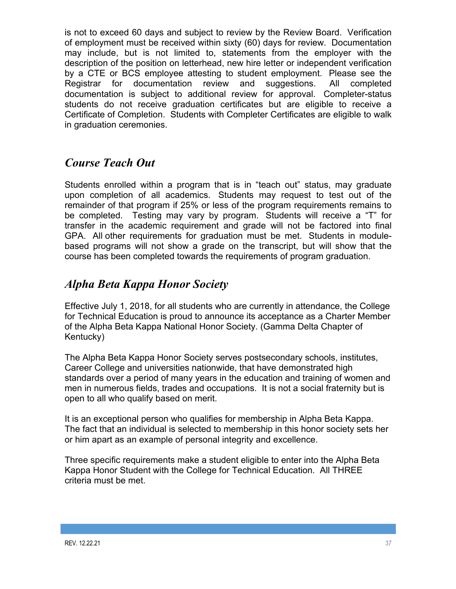is not to exceed 60 days and subject to review by the Review Board. Verification of employment must be received within sixty (60) days for review. Documentation may include, but is not limited to, statements from the employer with the description of the position on letterhead, new hire letter or independent verification by a CTE or BCS employee attesting to student employment. Please see the Registrar for documentation review and suggestions. All completed documentation is subject to additional review for approval. Completer-status students do not receive graduation certificates but are eligible to receive a Certificate of Completion. Students with Completer Certificates are eligible to walk in graduation ceremonies.

# *Course Teach Out*

Students enrolled within a program that is in "teach out" status, may graduate upon completion of all academics. Students may request to test out of the remainder of that program if 25% or less of the program requirements remains to be completed. Testing may vary by program. Students will receive a "T" for transfer in the academic requirement and grade will not be factored into final GPA. All other requirements for graduation must be met. Students in modulebased programs will not show a grade on the transcript, but will show that the course has been completed towards the requirements of program graduation.

# *Alpha Beta Kappa Honor Society*

Effective July 1, 2018, for all students who are currently in attendance, the College for Technical Education is proud to announce its acceptance as a Charter Member of the Alpha Beta Kappa National Honor Society. (Gamma Delta Chapter of Kentucky)

The Alpha Beta Kappa Honor Society serves postsecondary schools, institutes, Career College and universities nationwide, that have demonstrated high standards over a period of many years in the education and training of women and men in numerous fields, trades and occupations. It is not a social fraternity but is open to all who qualify based on merit.

It is an exceptional person who qualifies for membership in Alpha Beta Kappa. The fact that an individual is selected to membership in this honor society sets her or him apart as an example of personal integrity and excellence.

Three specific requirements make a student eligible to enter into the Alpha Beta Kappa Honor Student with the College for Technical Education. All THREE criteria must be met.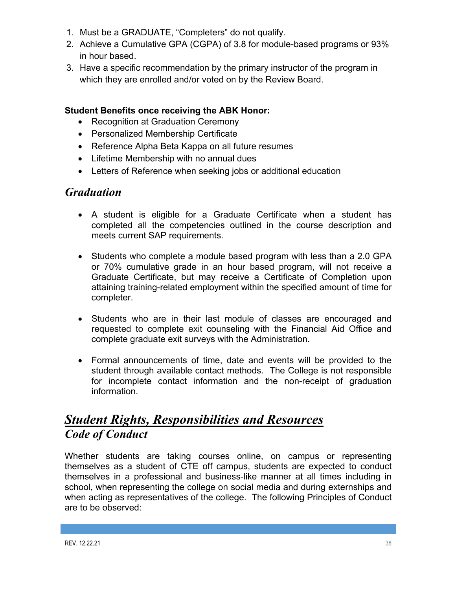- 1. Must be a GRADUATE, "Completers" do not qualify.
- 2. Achieve a Cumulative GPA (CGPA) of 3.8 for module-based programs or 93% in hour based.
- 3. Have a specific recommendation by the primary instructor of the program in which they are enrolled and/or voted on by the Review Board.

### **Student Benefits once receiving the ABK Honor:**

- Recognition at Graduation Ceremony
- Personalized Membership Certificate
- Reference Alpha Beta Kappa on all future resumes
- Lifetime Membership with no annual dues
- Letters of Reference when seeking jobs or additional education

## *Graduation*

- A student is eligible for a Graduate Certificate when a student has completed all the competencies outlined in the course description and meets current SAP requirements.
- Students who complete a module based program with less than a 2.0 GPA or 70% cumulative grade in an hour based program, will not receive a Graduate Certificate, but may receive a Certificate of Completion upon attaining training-related employment within the specified amount of time for completer.
- Students who are in their last module of classes are encouraged and requested to complete exit counseling with the Financial Aid Office and complete graduate exit surveys with the Administration.
- Formal announcements of time, date and events will be provided to the student through available contact methods. The College is not responsible for incomplete contact information and the non-receipt of graduation information.

# *Student Rights, Responsibilities and Resources Code of Conduct*

Whether students are taking courses online, on campus or representing themselves as a student of CTE off campus, students are expected to conduct themselves in a professional and business-like manner at all times including in school, when representing the college on social media and during externships and when acting as representatives of the college. The following Principles of Conduct are to be observed: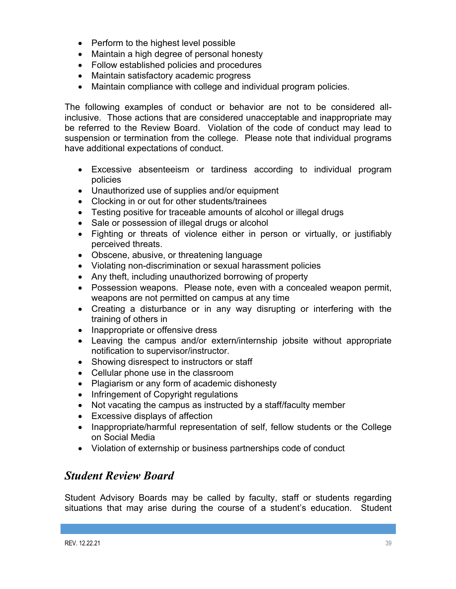- Perform to the highest level possible
- Maintain a high degree of personal honesty
- Follow established policies and procedures
- Maintain satisfactory academic progress
- Maintain compliance with college and individual program policies.

The following examples of conduct or behavior are not to be considered allinclusive. Those actions that are considered unacceptable and inappropriate may be referred to the Review Board. Violation of the code of conduct may lead to suspension or termination from the college. Please note that individual programs have additional expectations of conduct.

- Excessive absenteeism or tardiness according to individual program policies
- Unauthorized use of supplies and/or equipment
- Clocking in or out for other students/trainees
- Testing positive for traceable amounts of alcohol or illegal drugs
- Sale or possession of illegal drugs or alcohol
- Fighting or threats of violence either in person or virtually, or justifiably perceived threats.
- Obscene, abusive, or threatening language
- Violating non-discrimination or sexual harassment policies
- Any theft, including unauthorized borrowing of property
- Possession weapons. Please note, even with a concealed weapon permit, weapons are not permitted on campus at any time
- Creating a disturbance or in any way disrupting or interfering with the training of others in
- Inappropriate or offensive dress
- Leaving the campus and/or extern/internship jobsite without appropriate notification to supervisor/instructor.
- Showing disrespect to instructors or staff
- Cellular phone use in the classroom
- Plagiarism or any form of academic dishonesty
- Infringement of Copyright regulations
- Not vacating the campus as instructed by a staff/faculty member
- Excessive displays of affection
- Inappropriate/harmful representation of self, fellow students or the College on Social Media
- Violation of externship or business partnerships code of conduct

# *Student Review Board*

Student Advisory Boards may be called by faculty, staff or students regarding situations that may arise during the course of a student's education. Student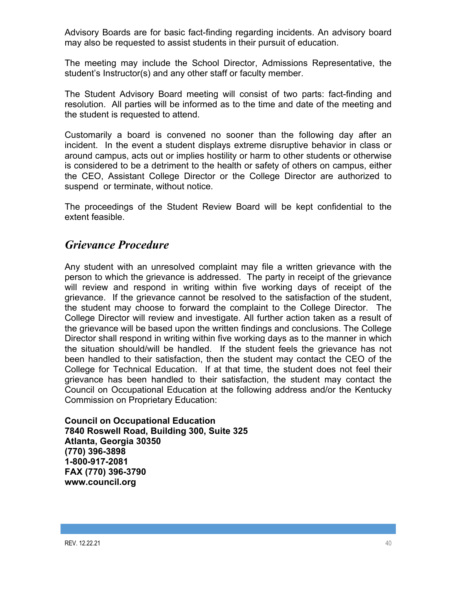Advisory Boards are for basic fact-finding regarding incidents. An advisory board may also be requested to assist students in their pursuit of education.

The meeting may include the School Director, Admissions Representative, the student's Instructor(s) and any other staff or faculty member.

The Student Advisory Board meeting will consist of two parts: fact-finding and resolution. All parties will be informed as to the time and date of the meeting and the student is requested to attend.

Customarily a board is convened no sooner than the following day after an incident. In the event a student displays extreme disruptive behavior in class or around campus, acts out or implies hostility or harm to other students or otherwise is considered to be a detriment to the health or safety of others on campus, either the CEO, Assistant College Director or the College Director are authorized to suspend or terminate, without notice.

The proceedings of the Student Review Board will be kept confidential to the extent feasible.

## *Grievance Procedure*

Any student with an unresolved complaint may file a written grievance with the person to which the grievance is addressed. The party in receipt of the grievance will review and respond in writing within five working days of receipt of the grievance. If the grievance cannot be resolved to the satisfaction of the student, the student may choose to forward the complaint to the College Director. The College Director will review and investigate. All further action taken as a result of the grievance will be based upon the written findings and conclusions. The College Director shall respond in writing within five working days as to the manner in which the situation should/will be handled. If the student feels the grievance has not been handled to their satisfaction, then the student may contact the CEO of the College for Technical Education. If at that time, the student does not feel their grievance has been handled to their satisfaction, the student may contact the Council on Occupational Education at the following address and/or the Kentucky Commission on Proprietary Education:

**Council on Occupational Education 7840 Roswell Road, Building 300, Suite 325 Atlanta, Georgia 30350 (770) 396-3898 1-800-917-2081 FAX (770) 396-3790 www.council.org**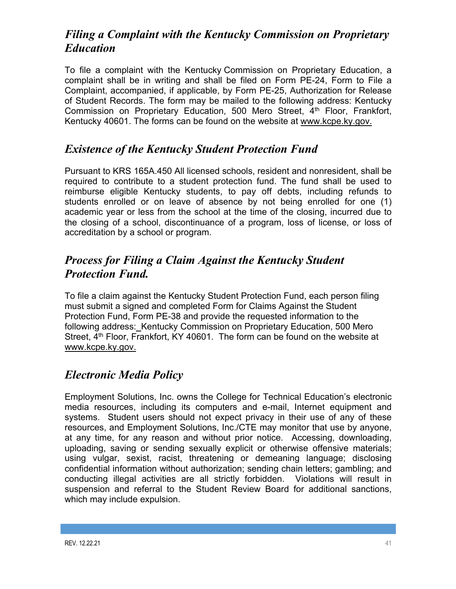# *Filing a Complaint with the Kentucky Commission on Proprietary Education*

To file a complaint with the Kentucky Commission on Proprietary Education, a complaint shall be in writing and shall be filed on Form PE-24, Form to File a Complaint, accompanied, if applicable, by Form PE-25, Authorization for Release of Student Records. The form may be mailed to the following address: Kentucky Commission on Proprietary Education, 500 Mero Street, 4<sup>th</sup> Floor, Frankfort, Kentucky 40601. The forms can be found on the website at www.kcpe.ky.gov.

# *Existence of the Kentucky Student Protection Fund*

Pursuant to KRS 165A.450 All licensed schools, resident and nonresident, shall be required to contribute to a student protection fund. The fund shall be used to reimburse eligible Kentucky students, to pay off debts, including refunds to students enrolled or on leave of absence by not being enrolled for one (1) academic year or less from the school at the time of the closing, incurred due to the closing of a school, discontinuance of a program, loss of license, or loss of accreditation by a school or program.

# *Process for Filing a Claim Against the Kentucky Student Protection Fund.*

To file a claim against the Kentucky Student Protection Fund, each person filing must submit a signed and completed Form for Claims Against the Student Protection Fund, Form PE-38 and provide the requested information to the following address: Kentucky Commission on Proprietary Education, 500 Mero Street, 4<sup>th</sup> Floor, Frankfort, KY 40601. The form can be found on the website at www.kcpe.ky.gov.

# *Electronic Media Policy*

Employment Solutions, Inc. owns the College for Technical Education's electronic media resources, including its computers and e-mail, Internet equipment and systems. Student users should not expect privacy in their use of any of these resources, and Employment Solutions, Inc./CTE may monitor that use by anyone, at any time, for any reason and without prior notice. Accessing, downloading, uploading, saving or sending sexually explicit or otherwise offensive materials; using vulgar, sexist, racist, threatening or demeaning language; disclosing confidential information without authorization; sending chain letters; gambling; and conducting illegal activities are all strictly forbidden. Violations will result in suspension and referral to the Student Review Board for additional sanctions, which may include expulsion.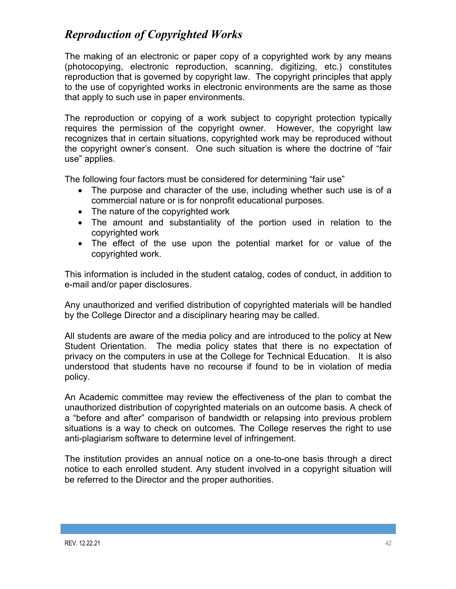# *Reproduction of Copyrighted Works*

The making of an electronic or paper copy of a copyrighted work by any means (photocopying, electronic reproduction, scanning, digitizing, etc.) constitutes reproduction that is governed by copyright law. The copyright principles that apply to the use of copyrighted works in electronic environments are the same as those that apply to such use in paper environments.

The reproduction or copying of a work subject to copyright protection typically requires the permission of the copyright owner. However, the copyright law recognizes that in certain situations, copyrighted work may be reproduced without the copyright owner's consent. One such situation is where the doctrine of "fair use" applies.

The following four factors must be considered for determining "fair use"

- The purpose and character of the use, including whether such use is of a commercial nature or is for nonprofit educational purposes.
- The nature of the copyrighted work
- The amount and substantiality of the portion used in relation to the copyrighted work
- The effect of the use upon the potential market for or value of the copyrighted work.

This information is included in the student catalog, codes of conduct, in addition to e-mail and/or paper disclosures.

Any unauthorized and verified distribution of copyrighted materials will be handled by the College Director and a disciplinary hearing may be called.

All students are aware of the media policy and are introduced to the policy at New Student Orientation. The media policy states that there is no expectation of privacy on the computers in use at the College for Technical Education. It is also understood that students have no recourse if found to be in violation of media policy.

An Academic committee may review the effectiveness of the plan to combat the unauthorized distribution of copyrighted materials on an outcome basis. A check of a "before and after" comparison of bandwidth or relapsing into previous problem situations is a way to check on outcomes. The College reserves the right to use anti-plagiarism software to determine level of infringement.

The institution provides an annual notice on a one-to-one basis through a direct notice to each enrolled student. Any student involved in a copyright situation will be referred to the Director and the proper authorities.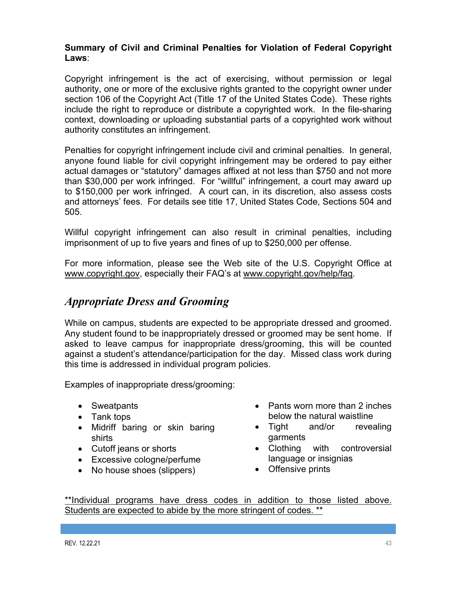### **Summary of Civil and Criminal Penalties for Violation of Federal Copyright Laws**:

Copyright infringement is the act of exercising, without permission or legal authority, one or more of the exclusive rights granted to the copyright owner under section 106 of the Copyright Act (Title 17 of the United States Code). These rights include the right to reproduce or distribute a copyrighted work. In the file-sharing context, downloading or uploading substantial parts of a copyrighted work without authority constitutes an infringement.

Penalties for copyright infringement include civil and criminal penalties. In general, anyone found liable for civil copyright infringement may be ordered to pay either actual damages or "statutory" damages affixed at not less than \$750 and not more than \$30,000 per work infringed. For "willful" infringement, a court may award up to \$150,000 per work infringed. A court can, in its discretion, also assess costs and attorneys' fees. For details see title 17, United States Code, Sections 504 and 505.

Willful copyright infringement can also result in criminal penalties, including imprisonment of up to five years and fines of up to \$250,000 per offense.

For more information, please see the Web site of the U.S. Copyright Office at www.copyright.gov, especially their FAQ's at www.copyright.gov/help/faq.

# *Appropriate Dress and Grooming*

While on campus, students are expected to be appropriate dressed and groomed. Any student found to be inappropriately dressed or groomed may be sent home. If asked to leave campus for inappropriate dress/grooming, this will be counted against a student's attendance/participation for the day. Missed class work during this time is addressed in individual program policies.

Examples of inappropriate dress/grooming:

- Sweatpants
- Tank tops
- Midriff baring or skin baring shirts
- Cutoff jeans or shorts
- Excessive cologne/perfume
- No house shoes (slippers)
- Pants worn more than 2 inches below the natural waistline
- Tight and/or revealing garments
- Clothing with controversial language or insignias
- Offensive prints

\*\*Individual programs have dress codes in addition to those listed above. Students are expected to abide by the more stringent of codes. \*\*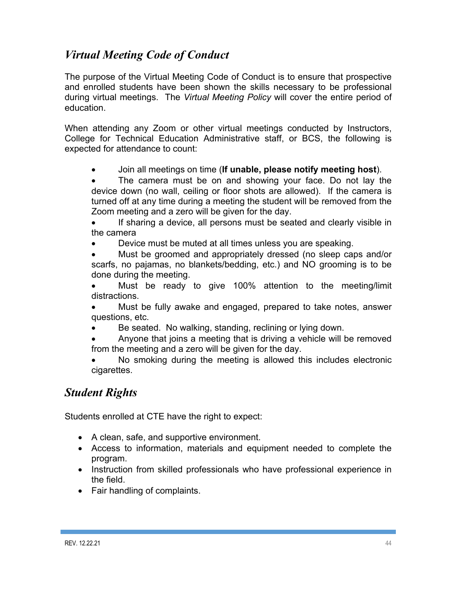# *Virtual Meeting Code of Conduct*

The purpose of the Virtual Meeting Code of Conduct is to ensure that prospective and enrolled students have been shown the skills necessary to be professional during virtual meetings. The *Virtual Meeting Policy* will cover the entire period of education.

When attending any Zoom or other virtual meetings conducted by Instructors, College for Technical Education Administrative staff, or BCS, the following is expected for attendance to count:

• Join all meetings on time (**If unable, please notify meeting host**).

The camera must be on and showing your face. Do not lay the device down (no wall, ceiling or floor shots are allowed). If the camera is turned off at any time during a meeting the student will be removed from the Zoom meeting and a zero will be given for the day.

If sharing a device, all persons must be seated and clearly visible in the camera

• Device must be muted at all times unless you are speaking.

• Must be groomed and appropriately dressed (no sleep caps and/or scarfs, no pajamas, no blankets/bedding, etc.) and NO grooming is to be done during the meeting.

Must be ready to give 100% attention to the meeting/limit distractions.

• Must be fully awake and engaged, prepared to take notes, answer questions, etc.

Be seated. No walking, standing, reclining or lying down.

• Anyone that joins a meeting that is driving a vehicle will be removed from the meeting and a zero will be given for the day.

No smoking during the meeting is allowed this includes electronic cigarettes.

# *Student Rights*

Students enrolled at CTE have the right to expect:

- A clean, safe, and supportive environment.
- Access to information, materials and equipment needed to complete the program.
- Instruction from skilled professionals who have professional experience in the field.
- Fair handling of complaints.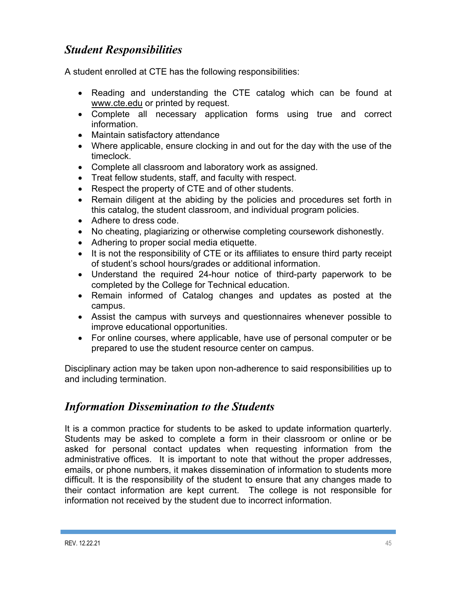# *Student Responsibilities*

A student enrolled at CTE has the following responsibilities:

- Reading and understanding the CTE catalog which can be found at www.cte.edu or printed by request.
- Complete all necessary application forms using true and correct information.
- Maintain satisfactory attendance
- Where applicable, ensure clocking in and out for the day with the use of the timeclock.
- Complete all classroom and laboratory work as assigned.
- Treat fellow students, staff, and faculty with respect.
- Respect the property of CTE and of other students.
- Remain diligent at the abiding by the policies and procedures set forth in this catalog, the student classroom, and individual program policies.
- Adhere to dress code.
- No cheating, plagiarizing or otherwise completing coursework dishonestly.
- Adhering to proper social media etiquette.
- It is not the responsibility of CTE or its affiliates to ensure third party receipt of student's school hours/grades or additional information.
- Understand the required 24-hour notice of third-party paperwork to be completed by the College for Technical education.
- Remain informed of Catalog changes and updates as posted at the campus.
- Assist the campus with surveys and questionnaires whenever possible to improve educational opportunities.
- For online courses, where applicable, have use of personal computer or be prepared to use the student resource center on campus.

Disciplinary action may be taken upon non-adherence to said responsibilities up to and including termination.

# *Information Dissemination to the Students*

It is a common practice for students to be asked to update information quarterly. Students may be asked to complete a form in their classroom or online or be asked for personal contact updates when requesting information from the administrative offices. It is important to note that without the proper addresses, emails, or phone numbers, it makes dissemination of information to students more difficult. It is the responsibility of the student to ensure that any changes made to their contact information are kept current. The college is not responsible for information not received by the student due to incorrect information.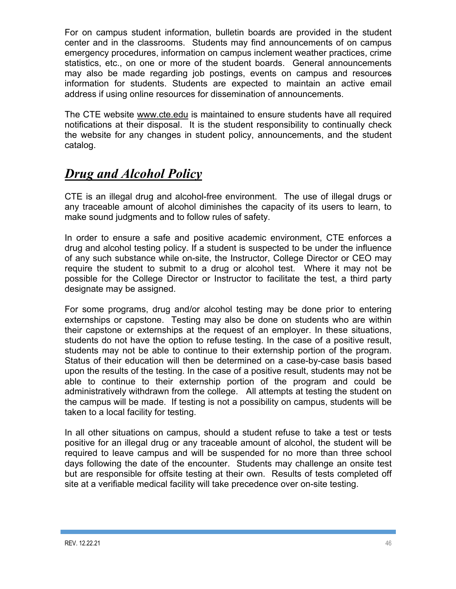For on campus student information, bulletin boards are provided in the student center and in the classrooms. Students may find announcements of on campus emergency procedures, information on campus inclement weather practices, crime statistics, etc., on one or more of the student boards. General announcements may also be made regarding job postings, events on campus and resources information for students. Students are expected to maintain an active email address if using online resources for dissemination of announcements.

The CTE website www.cte.edu is maintained to ensure students have all required notifications at their disposal. It is the student responsibility to continually check the website for any changes in student policy, announcements, and the student catalog.

# *Drug and Alcohol Policy*

CTE is an illegal drug and alcohol-free environment. The use of illegal drugs or any traceable amount of alcohol diminishes the capacity of its users to learn, to make sound judgments and to follow rules of safety.

In order to ensure a safe and positive academic environment, CTE enforces a drug and alcohol testing policy. If a student is suspected to be under the influence of any such substance while on-site, the Instructor, College Director or CEO may require the student to submit to a drug or alcohol test. Where it may not be possible for the College Director or Instructor to facilitate the test, a third party designate may be assigned.

For some programs, drug and/or alcohol testing may be done prior to entering externships or capstone. Testing may also be done on students who are within their capstone or externships at the request of an employer. In these situations, students do not have the option to refuse testing. In the case of a positive result, students may not be able to continue to their externship portion of the program. Status of their education will then be determined on a case-by-case basis based upon the results of the testing. In the case of a positive result, students may not be able to continue to their externship portion of the program and could be administratively withdrawn from the college. All attempts at testing the student on the campus will be made. If testing is not a possibility on campus, students will be taken to a local facility for testing.

In all other situations on campus, should a student refuse to take a test or tests positive for an illegal drug or any traceable amount of alcohol, the student will be required to leave campus and will be suspended for no more than three school days following the date of the encounter. Students may challenge an onsite test but are responsible for offsite testing at their own. Results of tests completed off site at a verifiable medical facility will take precedence over on-site testing.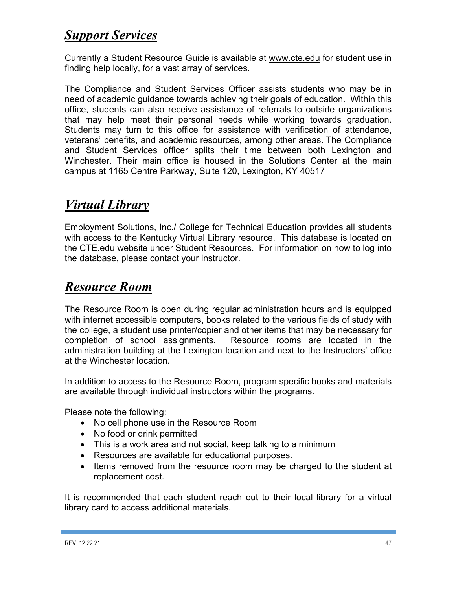# *Support Services*

Currently a Student Resource Guide is available at www.cte.edu for student use in finding help locally, for a vast array of services.

The Compliance and Student Services Officer assists students who may be in need of academic guidance towards achieving their goals of education. Within this office, students can also receive assistance of referrals to outside organizations that may help meet their personal needs while working towards graduation. Students may turn to this office for assistance with verification of attendance, veterans' benefits, and academic resources, among other areas. The Compliance and Student Services officer splits their time between both Lexington and Winchester. Their main office is housed in the Solutions Center at the main campus at 1165 Centre Parkway, Suite 120, Lexington, KY 40517

# *Virtual Library*

Employment Solutions, Inc./ College for Technical Education provides all students with access to the Kentucky Virtual Library resource. This database is located on the CTE.edu website under Student Resources. For information on how to log into the database, please contact your instructor.

# *Resource Room*

The Resource Room is open during regular administration hours and is equipped with internet accessible computers, books related to the various fields of study with the college, a student use printer/copier and other items that may be necessary for completion of school assignments. Resource rooms are located in the administration building at the Lexington location and next to the Instructors' office at the Winchester location.

In addition to access to the Resource Room, program specific books and materials are available through individual instructors within the programs.

Please note the following:

- No cell phone use in the Resource Room
- No food or drink permitted
- This is a work area and not social, keep talking to a minimum
- Resources are available for educational purposes.
- Items removed from the resource room may be charged to the student at replacement cost.

It is recommended that each student reach out to their local library for a virtual library card to access additional materials.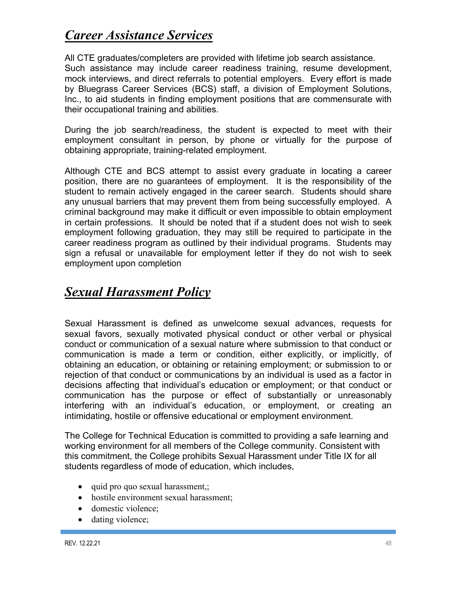# *Career Assistance Services*

All CTE graduates/completers are provided with lifetime job search assistance. Such assistance may include career readiness training, resume development, mock interviews, and direct referrals to potential employers. Every effort is made by Bluegrass Career Services (BCS) staff, a division of Employment Solutions, Inc., to aid students in finding employment positions that are commensurate with their occupational training and abilities.

During the job search/readiness, the student is expected to meet with their employment consultant in person, by phone or virtually for the purpose of obtaining appropriate, training-related employment.

Although CTE and BCS attempt to assist every graduate in locating a career position, there are no guarantees of employment. It is the responsibility of the student to remain actively engaged in the career search. Students should share any unusual barriers that may prevent them from being successfully employed. A criminal background may make it difficult or even impossible to obtain employment in certain professions. It should be noted that if a student does not wish to seek employment following graduation, they may still be required to participate in the career readiness program as outlined by their individual programs. Students may sign a refusal or unavailable for employment letter if they do not wish to seek employment upon completion

# *Sexual Harassment Policy*

Sexual Harassment is defined as unwelcome sexual advances, requests for sexual favors, sexually motivated physical conduct or other verbal or physical conduct or communication of a sexual nature where submission to that conduct or communication is made a term or condition, either explicitly, or implicitly, of obtaining an education, or obtaining or retaining employment; or submission to or rejection of that conduct or communications by an individual is used as a factor in decisions affecting that individual's education or employment; or that conduct or communication has the purpose or effect of substantially or unreasonably interfering with an individual's education, or employment, or creating an intimidating, hostile or offensive educational or employment environment.

The College for Technical Education is committed to providing a safe learning and working environment for all members of the College community. Consistent with this commitment, the College prohibits Sexual Harassment under Title IX for all students regardless of mode of education, which includes,

- quid pro quo sexual harassment,;
- hostile environment sexual harassment;
- domestic violence:
- dating violence;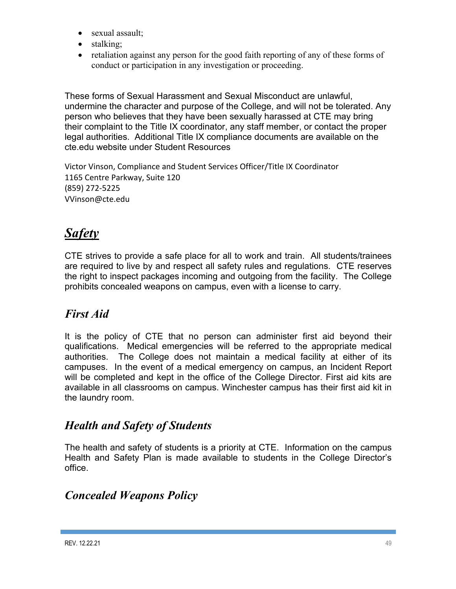- sexual assault;
- stalking;
- retaliation against any person for the good faith reporting of any of these forms of conduct or participation in any investigation or proceeding.

These forms of Sexual Harassment and Sexual Misconduct are unlawful, undermine the character and purpose of the College, and will not be tolerated. Any person who believes that they have been sexually harassed at CTE may bring their complaint to the Title IX coordinator, any staff member, or contact the proper legal authorities. Additional Title IX compliance documents are available on the cte.edu website under Student Resources

Victor Vinson, Compliance and Student Services Officer/Title IX Coordinator 1165 Centre Parkway, Suite 120 (859) 272-5225 VVinson@cte.edu

# *Safety*

CTE strives to provide a safe place for all to work and train. All students/trainees are required to live by and respect all safety rules and regulations. CTE reserves the right to inspect packages incoming and outgoing from the facility. The College prohibits concealed weapons on campus, even with a license to carry.

# *First Aid*

It is the policy of CTE that no person can administer first aid beyond their qualifications. Medical emergencies will be referred to the appropriate medical authorities. The College does not maintain a medical facility at either of its campuses. In the event of a medical emergency on campus, an Incident Report will be completed and kept in the office of the College Director. First aid kits are available in all classrooms on campus. Winchester campus has their first aid kit in the laundry room.

# *Health and Safety of Students*

The health and safety of students is a priority at CTE. Information on the campus Health and Safety Plan is made available to students in the College Director's office.

# *Concealed Weapons Policy*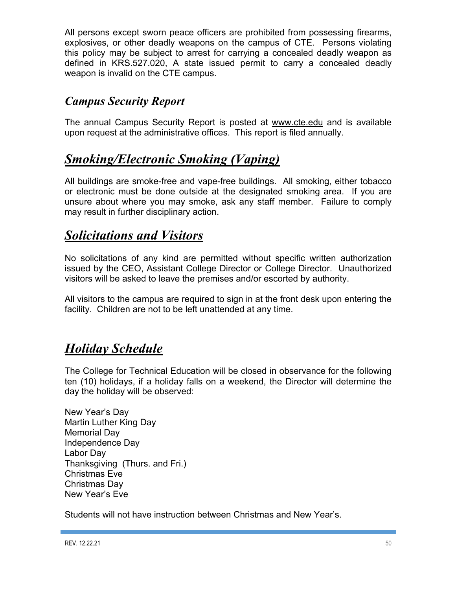All persons except sworn peace officers are prohibited from possessing firearms, explosives, or other deadly weapons on the campus of CTE. Persons violating this policy may be subject to arrest for carrying a concealed deadly weapon as defined in KRS.527.020, A state issued permit to carry a concealed deadly weapon is invalid on the CTE campus.

# *Campus Security Report*

The annual Campus Security Report is posted at www.cte.edu and is available upon request at the administrative offices. This report is filed annually.

# *Smoking/Electronic Smoking (Vaping)*

All buildings are smoke-free and vape-free buildings. All smoking, either tobacco or electronic must be done outside at the designated smoking area. If you are unsure about where you may smoke, ask any staff member. Failure to comply may result in further disciplinary action.

# *Solicitations and Visitors*

No solicitations of any kind are permitted without specific written authorization issued by the CEO, Assistant College Director or College Director. Unauthorized visitors will be asked to leave the premises and/or escorted by authority.

All visitors to the campus are required to sign in at the front desk upon entering the facility. Children are not to be left unattended at any time.

# *Holiday Schedule*

The College for Technical Education will be closed in observance for the following ten (10) holidays, if a holiday falls on a weekend, the Director will determine the day the holiday will be observed:

New Year's Day Martin Luther King Day Memorial Day Independence Day Labor Day Thanksgiving (Thurs. and Fri.) Christmas Eve Christmas Day New Year's Eve

Students will not have instruction between Christmas and New Year's.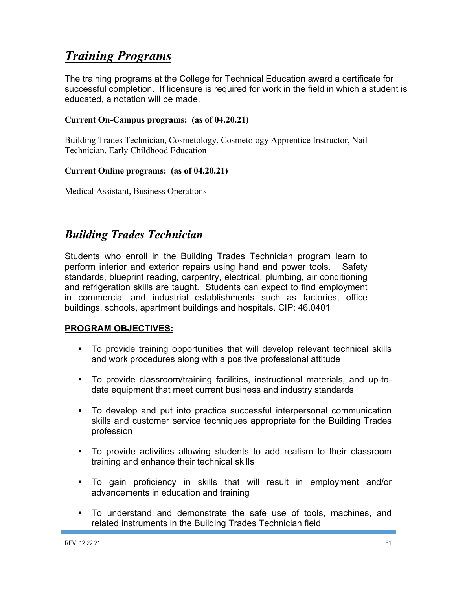# *Training Programs*

The training programs at the College for Technical Education award a certificate for successful completion. If licensure is required for work in the field in which a student is educated, a notation will be made.

### **Current On-Campus programs: (as of 04.20.21)**

Building Trades Technician, Cosmetology, Cosmetology Apprentice Instructor, Nail Technician, Early Childhood Education

### **Current Online programs: (as of 04.20.21)**

Medical Assistant, Business Operations

# *Building Trades Technician*

Students who enroll in the Building Trades Technician program learn to perform interior and exterior repairs using hand and power tools. Safety standards, blueprint reading, carpentry, electrical, plumbing, air conditioning and refrigeration skills are taught. Students can expect to find employment in commercial and industrial establishments such as factories, office buildings, schools, apartment buildings and hospitals. CIP: 46.0401

### **PROGRAM OBJECTIVES:**

- ! To provide training opportunities that will develop relevant technical skills and work procedures along with a positive professional attitude
- ! To provide classroom/training facilities, instructional materials, and up-todate equipment that meet current business and industry standards
- ! To develop and put into practice successful interpersonal communication skills and customer service techniques appropriate for the Building Trades profession
- ! To provide activities allowing students to add realism to their classroom training and enhance their technical skills
- ! To gain proficiency in skills that will result in employment and/or advancements in education and training
- ! To understand and demonstrate the safe use of tools, machines, and related instruments in the Building Trades Technician field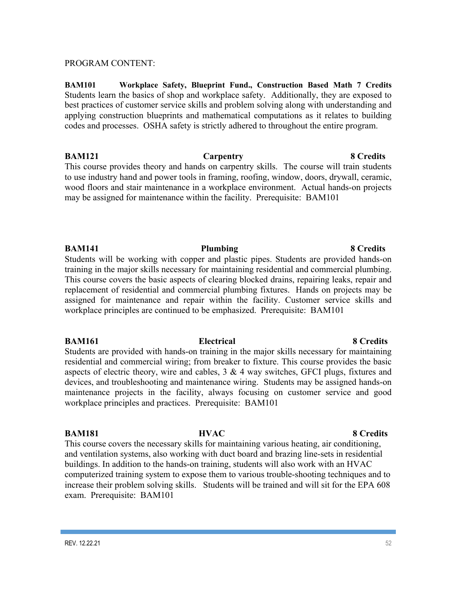#### PROGRAM CONTENT:

**BAM101 Workplace Safety, Blueprint Fund., Construction Based Math 7 Credits**  Students learn the basics of shop and workplace safety. Additionally, they are exposed to best practices of customer service skills and problem solving along with understanding and applying construction blueprints and mathematical computations as it relates to building codes and processes. OSHA safety is strictly adhered to throughout the entire program.

**BAM121 Carpentry 8 Credits** This course provides theory and hands on carpentry skills. The course will train students to use industry hand and power tools in framing, roofing, window, doors, drywall, ceramic, wood floors and stair maintenance in a workplace environment. Actual hands-on projects may be assigned for maintenance within the facility. Prerequisite: BAM101

#### **BAM141 Plumbing 8 Credits**

Students will be working with copper and plastic pipes. Students are provided hands-on training in the major skills necessary for maintaining residential and commercial plumbing. This course covers the basic aspects of clearing blocked drains, repairing leaks, repair and replacement of residential and commercial plumbing fixtures. Hands on projects may be assigned for maintenance and repair within the facility. Customer service skills and workplace principles are continued to be emphasized. Prerequisite: BAM101

#### **BAM161 Electrical 8 Credits**

Students are provided with hands-on training in the major skills necessary for maintaining residential and commercial wiring; from breaker to fixture. This course provides the basic aspects of electric theory, wire and cables, 3 & 4 way switches, GFCI plugs, fixtures and devices, and troubleshooting and maintenance wiring. Students may be assigned hands-on maintenance projects in the facility, always focusing on customer service and good workplace principles and practices. Prerequisite: BAM101

#### **BAM181 HVAC** 8 Credits

This course covers the necessary skills for maintaining various heating, air conditioning, and ventilation systems, also working with duct board and brazing line-sets in residential buildings. In addition to the hands-on training, students will also work with an HVAC computerized training system to expose them to various trouble-shooting techniques and to increase their problem solving skills. Students will be trained and will sit for the EPA 608 exam. Prerequisite: BAM101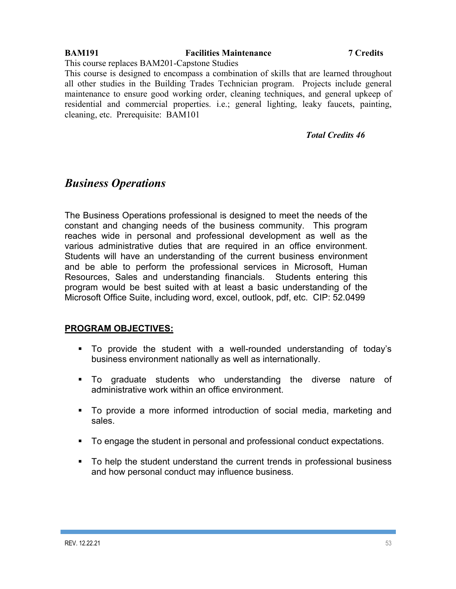## **BAM191 Facilities Maintenance 7 Credits**

This course replaces BAM201-Capstone Studies

This course is designed to encompass a combination of skills that are learned throughout all other studies in the Building Trades Technician program. Projects include general maintenance to ensure good working order, cleaning techniques, and general upkeep of residential and commercial properties. i.e.; general lighting, leaky faucets, painting, cleaning, etc. Prerequisite: BAM101

### *Total Credits 46*

## *Business Operations*

The Business Operations professional is designed to meet the needs of the constant and changing needs of the business community. This program reaches wide in personal and professional development as well as the various administrative duties that are required in an office environment. Students will have an understanding of the current business environment and be able to perform the professional services in Microsoft, Human Resources, Sales and understanding financials. Students entering this program would be best suited with at least a basic understanding of the Microsoft Office Suite, including word, excel, outlook, pdf, etc. CIP: 52.0499

### **PROGRAM OBJECTIVES:**

- ! To provide the student with a well-rounded understanding of today's business environment nationally as well as internationally.
- ! To graduate students who understanding the diverse nature of administrative work within an office environment.
- ! To provide a more informed introduction of social media, marketing and sales.
- ! To engage the student in personal and professional conduct expectations.
- ! To help the student understand the current trends in professional business and how personal conduct may influence business.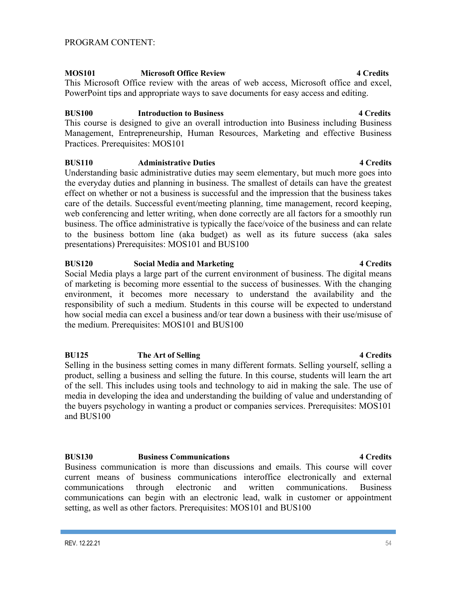product, selling a business and selling the future. In this course, students will learn the art of the sell. This includes using tools and technology to aid in making the sale. The use of media in developing the idea and understanding the building of value and understanding of the buyers psychology in wanting a product or companies services. Prerequisites: MOS101 and BUS100

#### **BUS130 Business Communications 4 Credits**

Business communication is more than discussions and emails. This course will cover current means of business communications interoffice electronically and external communications through electronic and written communications. Business communications can begin with an electronic lead, walk in customer or appointment setting, as well as other factors. Prerequisites: MOS101 and BUS100

#### PROGRAM CONTENT:

#### **MOS101 Microsoft Office Review 4 Credits**

This Microsoft Office review with the areas of web access, Microsoft office and excel, PowerPoint tips and appropriate ways to save documents for easy access and editing.

#### **BUS100 Introduction to Business 4 Credits**

This course is designed to give an overall introduction into Business including Business Management, Entrepreneurship, Human Resources, Marketing and effective Business Practices. Prerequisites: MOS101

#### **BUS110 Administrative Duties 4 Credits**

Understanding basic administrative duties may seem elementary, but much more goes into the everyday duties and planning in business. The smallest of details can have the greatest effect on whether or not a business is successful and the impression that the business takes care of the details. Successful event/meeting planning, time management, record keeping, web conferencing and letter writing, when done correctly are all factors for a smoothly run business. The office administrative is typically the face/voice of the business and can relate to the business bottom line (aka budget) as well as its future success (aka sales presentations) Prerequisites: MOS101 and BUS100

#### **BUS120 Social Media and Marketing 4 Credits**

Social Media plays a large part of the current environment of business. The digital means of marketing is becoming more essential to the success of businesses. With the changing environment, it becomes more necessary to understand the availability and the responsibility of such a medium. Students in this course will be expected to understand how social media can excel a business and/or tear down a business with their use/misuse of the medium. Prerequisites: MOS101 and BUS100

# **BU125 The Art of Selling 4 Credits** Selling in the business setting comes in many different formats. Selling yourself, selling a

#### **REV. 12.22.21** 54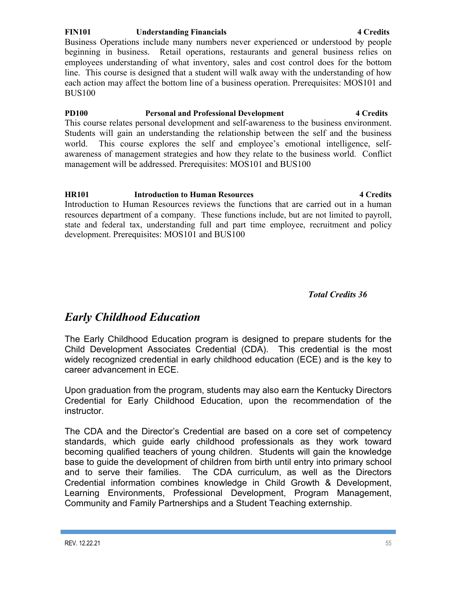#### **FIN101 Understanding Financials 4 Credits**

Business Operations include many numbers never experienced or understood by people beginning in business. Retail operations, restaurants and general business relies on employees understanding of what inventory, sales and cost control does for the bottom line. This course is designed that a student will walk away with the understanding of how each action may affect the bottom line of a business operation. Prerequisites: MOS101 and BUS100

### **PD100 Personal and Professional Development 4 Credits**  This course relates personal development and self-awareness to the business environment. Students will gain an understanding the relationship between the self and the business world. This course explores the self and employee's emotional intelligence, selfawareness of management strategies and how they relate to the business world. Conflict management will be addressed. Prerequisites: MOS101 and BUS100

#### **HR101 Introduction to Human Resources 4 Credits**

Introduction to Human Resources reviews the functions that are carried out in a human resources department of a company. These functions include, but are not limited to payroll, state and federal tax, understanding full and part time employee, recruitment and policy development. Prerequisites: MOS101 and BUS100

#### *Total Credits 36*

## *Early Childhood Education*

The Early Childhood Education program is designed to prepare students for the Child Development Associates Credential (CDA). This credential is the most widely recognized credential in early childhood education (ECE) and is the key to career advancement in ECE.

Upon graduation from the program, students may also earn the Kentucky Directors Credential for Early Childhood Education, upon the recommendation of the instructor.

The CDA and the Director's Credential are based on a core set of competency standards, which guide early childhood professionals as they work toward becoming qualified teachers of young children. Students will gain the knowledge base to guide the development of children from birth until entry into primary school and to serve their families. The CDA curriculum, as well as the Directors Credential information combines knowledge in Child Growth & Development, Learning Environments, Professional Development, Program Management, Community and Family Partnerships and a Student Teaching externship.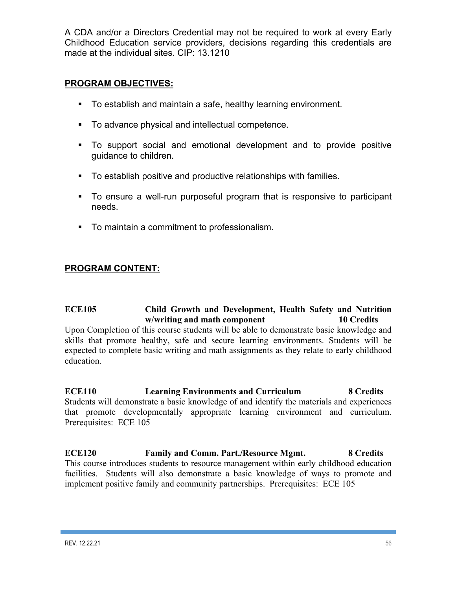A CDA and/or a Directors Credential may not be required to work at every Early Childhood Education service providers, decisions regarding this credentials are made at the individual sites. CIP: 13.1210

### **PROGRAM OBJECTIVES:**

- ! To establish and maintain a safe, healthy learning environment.
- ! To advance physical and intellectual competence.
- ! To support social and emotional development and to provide positive guidance to children.
- ! To establish positive and productive relationships with families.
- ! To ensure a well-run purposeful program that is responsive to participant needs.
- ! To maintain a commitment to professionalism.

## **PROGRAM CONTENT:**

### **ECE105 Child Growth and Development, Health Safety and Nutrition w/writing and math component 10 Credits**

Upon Completion of this course students will be able to demonstrate basic knowledge and skills that promote healthy, safe and secure learning environments. Students will be expected to complete basic writing and math assignments as they relate to early childhood education.

**ECE110 Learning Environments and Curriculum 8 Credits** Students will demonstrate a basic knowledge of and identify the materials and experiences that promote developmentally appropriate learning environment and curriculum. Prerequisites: ECE 105

**ECE120 Family and Comm. Part./Resource Mgmt. 8 Credits** This course introduces students to resource management within early childhood education facilities. Students will also demonstrate a basic knowledge of ways to promote and implement positive family and community partnerships. Prerequisites: ECE 105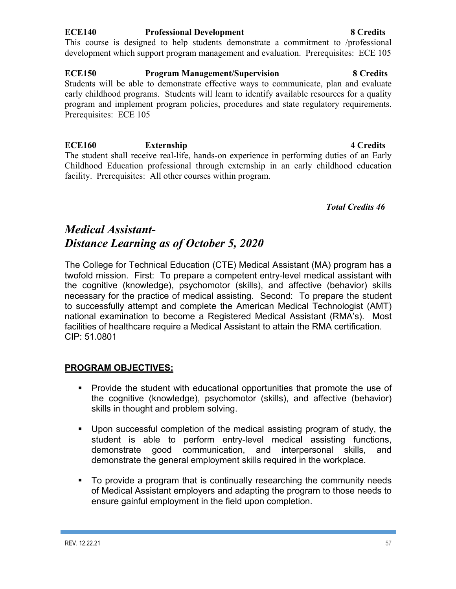### **ECE140 Professional Development 8 Credits**

This course is designed to help students demonstrate a commitment to /professional development which support program management and evaluation. Prerequisites: ECE 105

**ECE150 Program Management/Supervision 8 Credits** Students will be able to demonstrate effective ways to communicate, plan and evaluate early childhood programs. Students will learn to identify available resources for a quality program and implement program policies, procedures and state regulatory requirements. Prerequisites: ECE 105

**ECE160 Externship 4 Credits** The student shall receive real-life, hands-on experience in performing duties of an Early Childhood Education professional through externship in an early childhood education facility. Prerequisites: All other courses within program.

*Total Credits 46*

# *Medical Assistant-Distance Learning as of October 5, 2020*

The College for Technical Education (CTE) Medical Assistant (MA) program has a twofold mission. First: To prepare a competent entry-level medical assistant with the cognitive (knowledge), psychomotor (skills), and affective (behavior) skills necessary for the practice of medical assisting. Second: To prepare the student to successfully attempt and complete the American Medical Technologist (AMT) national examination to become a Registered Medical Assistant (RMA's). Most facilities of healthcare require a Medical Assistant to attain the RMA certification. CIP: 51.0801

## **PROGRAM OBJECTIVES:**

- ! Provide the student with educational opportunities that promote the use of the cognitive (knowledge), psychomotor (skills), and affective (behavior) skills in thought and problem solving.
- ! Upon successful completion of the medical assisting program of study, the student is able to perform entry-level medical assisting functions, demonstrate good communication, and interpersonal skills, and demonstrate the general employment skills required in the workplace.
- ! To provide a program that is continually researching the community needs of Medical Assistant employers and adapting the program to those needs to ensure gainful employment in the field upon completion.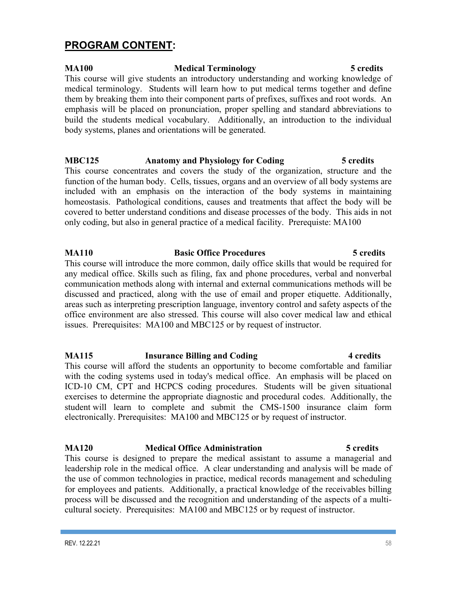## **PROGRAM CONTENT:**

### **MA100 Medical Terminology 5 credits** This course will give students an introductory understanding and working knowledge of medical terminology. Students will learn how to put medical terms together and define them by breaking them into their component parts of prefixes, suffixes and root words. An emphasis will be placed on pronunciation, proper spelling and standard abbreviations to build the students medical vocabulary. Additionally, an introduction to the individual body systems, planes and orientations will be generated.

## **MBC125 Anatomy and Physiology for Coding 5 credits**

This course concentrates and covers the study of the organization, structure and the function of the human body. Cells, tissues, organs and an overview of all body systems are included with an emphasis on the interaction of the body systems in maintaining homeostasis. Pathological conditions, causes and treatments that affect the body will be covered to better understand conditions and disease processes of the body. This aids in not only coding, but also in general practice of a medical facility. Prerequiste: MA100

### **MA110 Basic Office Procedures 5 credits**  This course will introduce the more common, daily office skills that would be required for any medical office. Skills such as filing, fax and phone procedures, verbal and nonverbal communication methods along with internal and external communications methods will be discussed and practiced, along with the use of email and proper etiquette. Additionally, areas such as interpreting prescription language, inventory control and safety aspects of the office environment are also stressed. This course will also cover medical law and ethical issues. Prerequisites: MA100 and MBC125 or by request of instructor.

**MA115 Insurance Billing and Coding 4 credits** This course will afford the students an opportunity to become comfortable and familiar with the coding systems used in today's medical office. An emphasis will be placed on ICD-10 CM, CPT and HCPCS coding procedures. Students will be given situational exercises to determine the appropriate diagnostic and procedural codes. Additionally, the student will learn to complete and submit the CMS-1500 insurance claim form electronically. Prerequisites: MA100 and MBC125 or by request of instructor.

## **MA120 Medical Office Administration 5 credits** This course is designed to prepare the medical assistant to assume a managerial and

leadership role in the medical office. A clear understanding and analysis will be made of the use of common technologies in practice, medical records management and scheduling for employees and patients. Additionally, a practical knowledge of the receivables billing process will be discussed and the recognition and understanding of the aspects of a multicultural society. Prerequisites: MA100 and MBC125 or by request of instructor.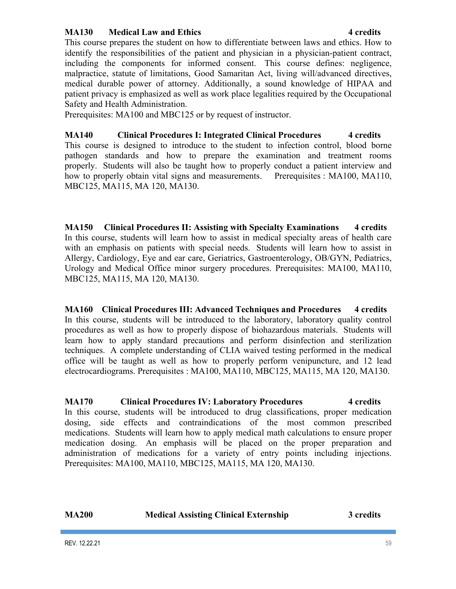### **MA130** Medical Law and Ethics **1 CONS 1 Example 1 CONS 4 credits**

This course prepares the student on how to differentiate between laws and ethics. How to identify the responsibilities of the patient and physician in a physician-patient contract, including the components for informed consent. This course defines: negligence, malpractice, statute of limitations, Good Samaritan Act, living will/advanced directives, medical durable power of attorney. Additionally, a sound knowledge of HIPAA and patient privacy is emphasized as well as work place legalities required by the Occupational Safety and Health Administration.

Prerequisites: MA100 and MBC125 or by request of instructor.

**MA140 Clinical Procedures I: Integrated Clinical Procedures 4 credits** This course is designed to introduce to the student to infection control, blood borne pathogen standards and how to prepare the examination and treatment rooms properly. Students will also be taught how to properly conduct a patient interview and how to properly obtain vital signs and measurements. Prerequisites : MA100, MA110, MBC125, MA115, MA 120, MA130.

**MA150 Clinical Procedures II: Assisting with Specialty Examinations 4 credits** In this course, students will learn how to assist in medical specialty areas of health care with an emphasis on patients with special needs. Students will learn how to assist in Allergy, Cardiology, Eye and ear care, Geriatrics, Gastroenterology, OB/GYN, Pediatrics, Urology and Medical Office minor surgery procedures. Prerequisites: MA100, MA110, MBC125, MA115, MA 120, MA130.

**MA160 Clinical Procedures III: Advanced Techniques and Procedures 4 credits** In this course, students will be introduced to the laboratory, laboratory quality control procedures as well as how to properly dispose of biohazardous materials. Students will learn how to apply standard precautions and perform disinfection and sterilization techniques. A complete understanding of CLIA waived testing performed in the medical office will be taught as well as how to properly perform venipuncture, and 12 lead electrocardiograms. Prerequisites : MA100, MA110, MBC125, MA115, MA 120, MA130.

### **MA170 Clinical Procedures IV: Laboratory Procedures** 4 **credits** In this course, students will be introduced to drug classifications, proper medication dosing, side effects and contraindications of the most common prescribed medications. Students will learn how to apply medical math calculations to ensure proper medication dosing. An emphasis will be placed on the proper preparation and administration of medications for a variety of entry points including injections. Prerequisites: MA100, MA110, MBC125, MA115, MA 120, MA130.

| <b>MA200</b> | <b>Medical Assisting Clinical Externship</b> | 3 credits |
|--------------|----------------------------------------------|-----------|
|              |                                              |           |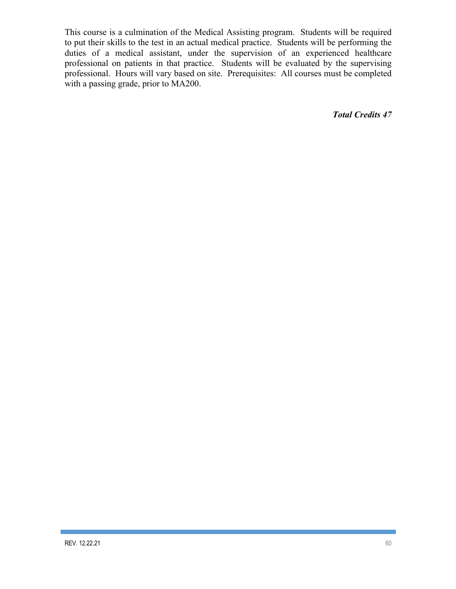This course is a culmination of the Medical Assisting program. Students will be required to put their skills to the test in an actual medical practice. Students will be performing the duties of a medical assistant, under the supervision of an experienced healthcare professional on patients in that practice. Students will be evaluated by the supervising professional. Hours will vary based on site. Prerequisites: All courses must be completed with a passing grade, prior to MA200.

*Total Credits 47*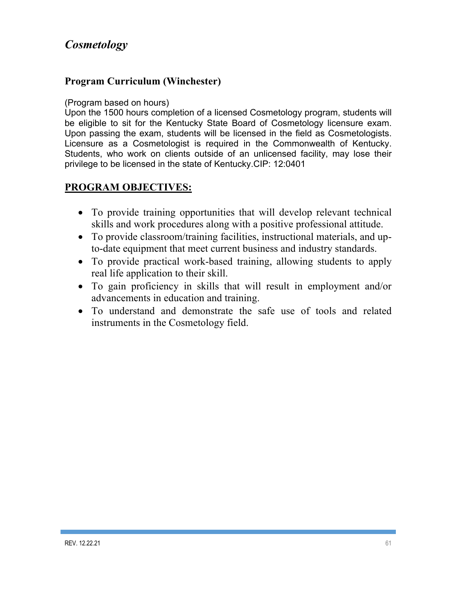# *Cosmetology*

## **Program Curriculum (Winchester)**

### (Program based on hours)

Upon the 1500 hours completion of a licensed Cosmetology program, students will be eligible to sit for the Kentucky State Board of Cosmetology licensure exam. Upon passing the exam, students will be licensed in the field as Cosmetologists. Licensure as a Cosmetologist is required in the Commonwealth of Kentucky. Students, who work on clients outside of an unlicensed facility, may lose their privilege to be licensed in the state of Kentucky.CIP: 12:0401

## **PROGRAM OBJECTIVES:**

- To provide training opportunities that will develop relevant technical skills and work procedures along with a positive professional attitude.
- To provide classroom/training facilities, instructional materials, and upto-date equipment that meet current business and industry standards.
- To provide practical work-based training, allowing students to apply real life application to their skill.
- To gain proficiency in skills that will result in employment and/or advancements in education and training.
- To understand and demonstrate the safe use of tools and related instruments in the Cosmetology field.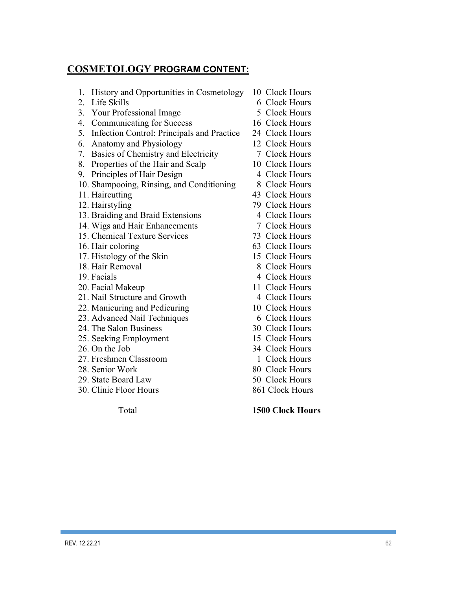# **COSMETOLOGY PROGRAM CONTENT:**

| History and Opportunities in Cosmetology<br>1.   | 10 Clock Hours  |  |
|--------------------------------------------------|-----------------|--|
| Life Skills<br>2.                                | 6 Clock Hours   |  |
| 3. Your Professional Image                       | 5 Clock Hours   |  |
| <b>Communicating for Success</b><br>4.           | 16 Clock Hours  |  |
| 5.<br>Infection Control: Principals and Practice | 24 Clock Hours  |  |
| Anatomy and Physiology<br>6.                     | 12 Clock Hours  |  |
| Basics of Chemistry and Electricity<br>7.        | 7 Clock Hours   |  |
| Properties of the Hair and Scalp<br>8.           | 10 Clock Hours  |  |
| Principles of Hair Design<br>9.                  | 4 Clock Hours   |  |
| 10. Shampooing, Rinsing, and Conditioning        | 8 Clock Hours   |  |
| 11. Haircutting                                  | 43 Clock Hours  |  |
| 12. Hairstyling                                  | 79 Clock Hours  |  |
| 13. Braiding and Braid Extensions                | 4 Clock Hours   |  |
| 14. Wigs and Hair Enhancements                   | 7 Clock Hours   |  |
| 15. Chemical Texture Services                    | 73 Clock Hours  |  |
| 16. Hair coloring                                | 63 Clock Hours  |  |
| 17. Histology of the Skin                        | 15 Clock Hours  |  |
| 18. Hair Removal                                 | 8 Clock Hours   |  |
| 19. Facials                                      | 4 Clock Hours   |  |
| 20. Facial Makeup                                | 11 Clock Hours  |  |
| 21. Nail Structure and Growth                    | 4 Clock Hours   |  |
| 22. Manicuring and Pedicuring                    | 10 Clock Hours  |  |
| 23. Advanced Nail Techniques                     | 6 Clock Hours   |  |
| 24. The Salon Business                           | 30 Clock Hours  |  |
| 25. Seeking Employment                           | 15 Clock Hours  |  |
| 26. On the Job                                   | 34 Clock Hours  |  |
| 27. Freshmen Classroom                           | 1 Clock Hours   |  |
| 28. Senior Work                                  | 80 Clock Hours  |  |
| 29. State Board Law                              | 50 Clock Hours  |  |
| 30. Clinic Floor Hours                           | 861 Clock Hours |  |
|                                                  |                 |  |

Total **1500 Clock Hours**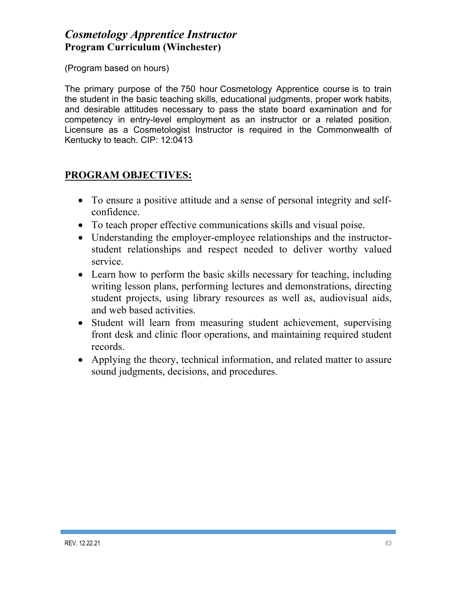# *Cosmetology Apprentice Instructor* **Program Curriculum (Winchester)**

(Program based on hours)

The primary purpose of the 750 hour Cosmetology Apprentice course is to train the student in the basic teaching skills, educational judgments, proper work habits, and desirable attitudes necessary to pass the state board examination and for competency in entry-level employment as an instructor or a related position. Licensure as a Cosmetologist Instructor is required in the Commonwealth of Kentucky to teach. CIP: 12:0413

## **PROGRAM OBJECTIVES:**

- To ensure a positive attitude and a sense of personal integrity and selfconfidence.
- To teach proper effective communications skills and visual poise.
- Understanding the employer-employee relationships and the instructorstudent relationships and respect needed to deliver worthy valued service.
- Learn how to perform the basic skills necessary for teaching, including writing lesson plans, performing lectures and demonstrations, directing student projects, using library resources as well as, audiovisual aids, and web based activities.
- Student will learn from measuring student achievement, supervising front desk and clinic floor operations, and maintaining required student records.
- Applying the theory, technical information, and related matter to assure sound judgments, decisions, and procedures.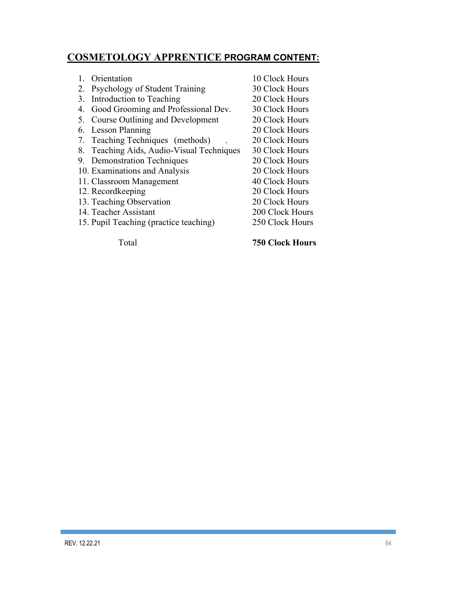## **COSMETOLOGY APPRENTICE PROGRAM CONTENT:**

|    | Orientation                            | 10 Clock Hours  |
|----|----------------------------------------|-----------------|
| 2. | Psychology of Student Training         | 30 Clock Hours  |
| 3. | Introduction to Teaching               | 20 Clock Hours  |
| 4. | Good Grooming and Professional Dev.    | 30 Clock Hours  |
| 5. | Course Outlining and Development       | 20 Clock Hours  |
| 6. | Lesson Planning                        | 20 Clock Hours  |
| 7. | Teaching Techniques (methods)          | 20 Clock Hours  |
| 8. | Teaching Aids, Audio-Visual Techniques | 30 Clock Hours  |
|    | 9. Demonstration Techniques            | 20 Clock Hours  |
|    | 10. Examinations and Analysis          | 20 Clock Hours  |
|    | 11. Classroom Management               | 40 Clock Hours  |
|    | 12. Recordkeeping                      | 20 Clock Hours  |
|    | 13. Teaching Observation               | 20 Clock Hours  |
|    | 14. Teacher Assistant                  | 200 Clock Hours |
|    | 15. Pupil Teaching (practice teaching) | 250 Clock Hours |
|    |                                        |                 |

Total **750 Clock Hours**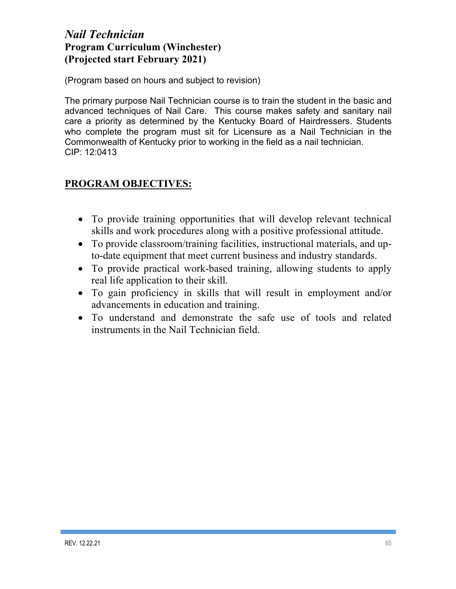## *Nail Technician* **Program Curriculum (Winchester) (Projected start February 2021)**

(Program based on hours and subject to revision)

The primary purpose Nail Technician course is to train the student in the basic and advanced techniques of Nail Care. This course makes safety and sanitary nail care a priority as determined by the Kentucky Board of Hairdressers. Students who complete the program must sit for Licensure as a Nail Technician in the Commonwealth of Kentucky prior to working in the field as a nail technician. CIP: 12:0413

## **PROGRAM OBJECTIVES:**

- To provide training opportunities that will develop relevant technical skills and work procedures along with a positive professional attitude.
- To provide classroom/training facilities, instructional materials, and upto-date equipment that meet current business and industry standards.
- To provide practical work-based training, allowing students to apply real life application to their skill.
- To gain proficiency in skills that will result in employment and/or advancements in education and training.
- To understand and demonstrate the safe use of tools and related instruments in the Nail Technician field.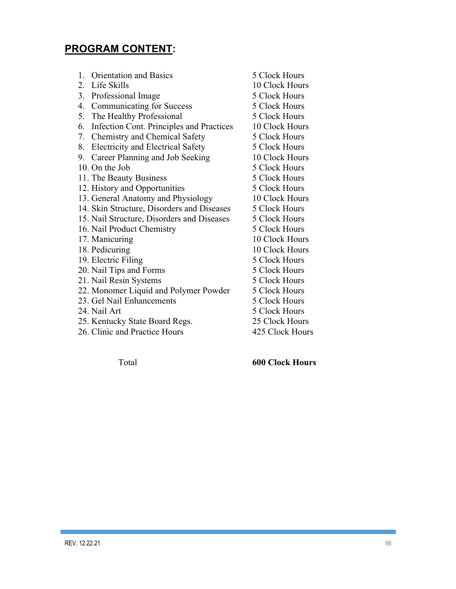# **PROGRAM CONTENT:**

| $1_{-}$ | <b>Orientation and Basics</b>              | 5 Clock Hours   |
|---------|--------------------------------------------|-----------------|
| 2.      | Life Skills                                | 10 Clock Hours  |
| 3.      | Professional Image                         | 5 Clock Hours   |
| 4.      | <b>Communicating for Success</b>           | 5 Clock Hours   |
| 5.      | The Healthy Professional                   | 5 Clock Hours   |
| 6.      | Infection Cont. Principles and Practices   | 10 Clock Hours  |
| 7.      | Chemistry and Chemical Safety              | 5 Clock Hours   |
| 8.      | <b>Electricity and Electrical Safety</b>   | 5 Clock Hours   |
| 9.      | Career Planning and Job Seeking            | 10 Clock Hours  |
|         | 10. On the Job                             | 5 Clock Hours   |
|         | 11. The Beauty Business                    | 5 Clock Hours   |
|         | 12. History and Opportunities              | 5 Clock Hours   |
|         | 13. General Anatomy and Physiology         | 10 Clock Hours  |
|         | 14. Skin Structure, Disorders and Diseases | 5 Clock Hours   |
|         | 15. Nail Structure, Disorders and Diseases | 5 Clock Hours   |
|         | 16. Nail Product Chemistry                 | 5 Clock Hours   |
|         | 17. Manicuring                             | 10 Clock Hours  |
|         | 18. Pedicuring                             | 10 Clock Hours  |
|         | 19. Electric Filing                        | 5 Clock Hours   |
|         | 20. Nail Tips and Forms                    | 5 Clock Hours   |
|         | 21. Nail Resin Systems                     | 5 Clock Hours   |
|         | 22. Monomer Liquid and Polymer Powder      | 5 Clock Hours   |
|         | 23. Gel Nail Enhancements                  | 5 Clock Hours   |
|         | 24. Nail Art                               | 5 Clock Hours   |
|         | 25. Kentucky State Board Regs.             | 25 Clock Hours  |
|         | 26. Clinic and Practice Hours              | 425 Clock Hours |
|         |                                            |                 |

Total **600 Clock Hours**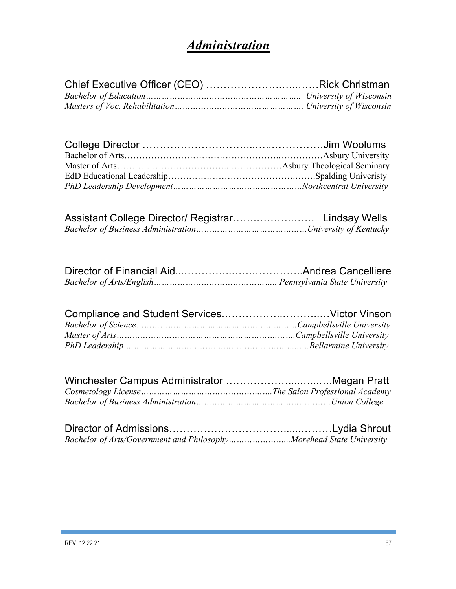# *Administration*

| Bachelor of Arts/Government and PhilosophyMorehead State University |  |
|---------------------------------------------------------------------|--|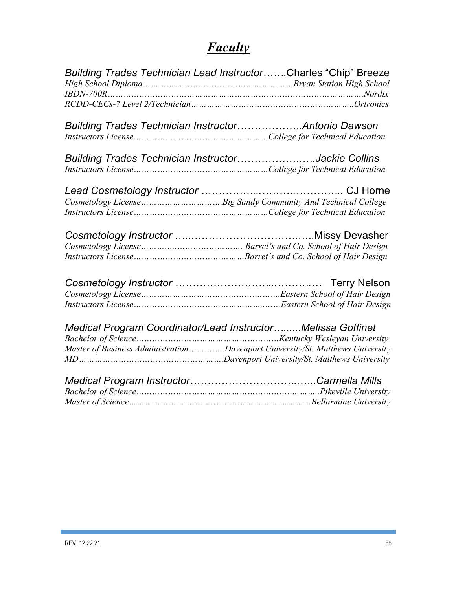# *Faculty*

| Building Trades Technician Lead InstructorCharles "Chip" Breeze               |
|-------------------------------------------------------------------------------|
|                                                                               |
| Building Trades Technician InstructorAntonio Dawson                           |
| Building Trades Technician InstructorJackie Collins                           |
|                                                                               |
|                                                                               |
|                                                                               |
|                                                                               |
|                                                                               |
|                                                                               |
| Medical Program Coordinator/Lead InstructorMelissa Goffinet                   |
| Master of Business AdministrationDavenport University/St. Matthews University |
|                                                                               |
|                                                                               |
|                                                                               |